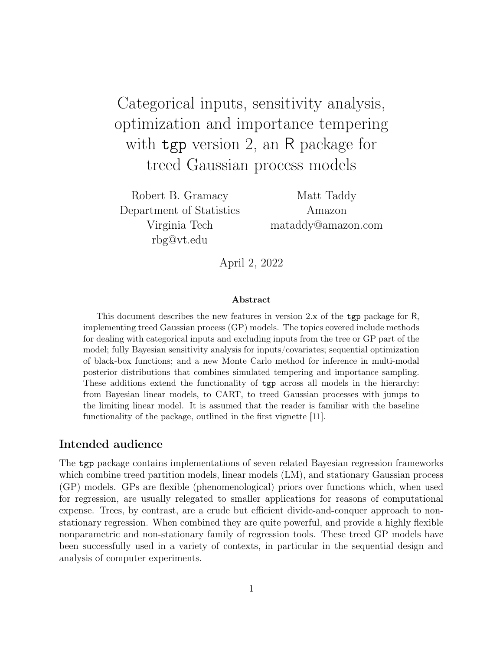# Categorical inputs, sensitivity analysis, optimization and importance tempering with tgp version 2, an R package for treed Gaussian process models

Robert B. Gramacy Department of Statistics Virginia Tech rbg@vt.edu

Matt Taddy Amazon mataddy@amazon.com

April 2, 2022

#### Abstract

This document describes the new features in version 2.x of the tgp package for R, implementing treed Gaussian process (GP) models. The topics covered include methods for dealing with categorical inputs and excluding inputs from the tree or GP part of the model; fully Bayesian sensitivity analysis for inputs/covariates; sequential optimization of black-box functions; and a new Monte Carlo method for inference in multi-modal posterior distributions that combines simulated tempering and importance sampling. These additions extend the functionality of tgp across all models in the hierarchy: from Bayesian linear models, to CART, to treed Gaussian processes with jumps to the limiting linear model. It is assumed that the reader is familiar with the baseline functionality of the package, outlined in the first vignette [11].

### Intended audience

The tgp package contains implementations of seven related Bayesian regression frameworks which combine treed partition models, linear models (LM), and stationary Gaussian process (GP) models. GPs are flexible (phenomenological) priors over functions which, when used for regression, are usually relegated to smaller applications for reasons of computational expense. Trees, by contrast, are a crude but efficient divide-and-conquer approach to nonstationary regression. When combined they are quite powerful, and provide a highly flexible nonparametric and non-stationary family of regression tools. These treed GP models have been successfully used in a variety of contexts, in particular in the sequential design and analysis of computer experiments.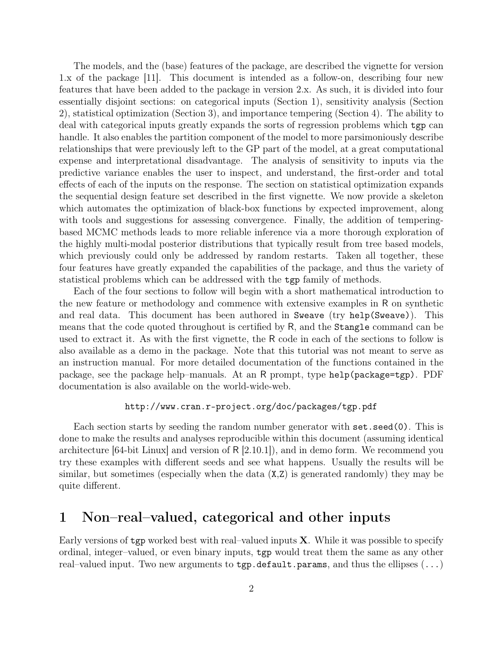The models, and the (base) features of the package, are described the vignette for version 1.x of the package [11]. This document is intended as a follow-on, describing four new features that have been added to the package in version 2.x. As such, it is divided into four essentially disjoint sections: on categorical inputs (Section 1), sensitivity analysis (Section 2), statistical optimization (Section 3), and importance tempering (Section 4). The ability to deal with categorical inputs greatly expands the sorts of regression problems which tgp can handle. It also enables the partition component of the model to more parsimoniously describe relationships that were previously left to the GP part of the model, at a great computational expense and interpretational disadvantage. The analysis of sensitivity to inputs via the predictive variance enables the user to inspect, and understand, the first-order and total effects of each of the inputs on the response. The section on statistical optimization expands the sequential design feature set described in the first vignette. We now provide a skeleton which automates the optimization of black-box functions by expected improvement, along with tools and suggestions for assessing convergence. Finally, the addition of temperingbased MCMC methods leads to more reliable inference via a more thorough exploration of the highly multi-modal posterior distributions that typically result from tree based models, which previously could only be addressed by random restarts. Taken all together, these four features have greatly expanded the capabilities of the package, and thus the variety of statistical problems which can be addressed with the tgp family of methods.

Each of the four sections to follow will begin with a short mathematical introduction to the new feature or methodology and commence with extensive examples in R on synthetic and real data. This document has been authored in Sweave (try help(Sweave)). This means that the code quoted throughout is certified by R, and the Stangle command can be used to extract it. As with the first vignette, the R code in each of the sections to follow is also available as a demo in the package. Note that this tutorial was not meant to serve as an instruction manual. For more detailed documentation of the functions contained in the package, see the package help–manuals. At an R prompt, type help(package=tgp). PDF documentation is also available on the world-wide-web.

### http://www.cran.r-project.org/doc/packages/tgp.pdf

Each section starts by seeding the random number generator with set.seed(0). This is done to make the results and analyses reproducible within this document (assuming identical architecture  $[64$ -bit Linux and version of R  $[2.10.1]$ , and in demo form. We recommend you try these examples with different seeds and see what happens. Usually the results will be similar, but sometimes (especially when the data (X,Z) is generated randomly) they may be quite different.

## 1 Non–real–valued, categorical and other inputs

Early versions of  $tgp$  worked best with real–valued inputs  $X$ . While it was possible to specify ordinal, integer–valued, or even binary inputs, tgp would treat them the same as any other real–valued input. Two new arguments to  $\tt{tgp.default.params}$ , and thus the ellipses  $(\ldots)$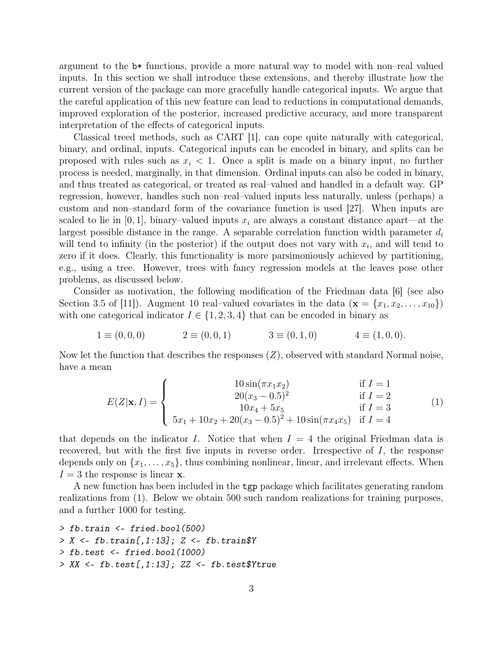argument to the b\* functions, provide a more natural way to model with non–real valued inputs. In this section we shall introduce these extensions, and thereby illustrate how the current version of the package can more gracefully handle categorical inputs. We argue that the careful application of this new feature can lead to reductions in computational demands, improved exploration of the posterior, increased predictive accuracy, and more transparent interpretation of the effects of categorical inputs.

Classical treed methods, such as CART [1], can cope quite naturally with categorical, binary, and ordinal, inputs. Categorical inputs can be encoded in binary, and splits can be proposed with rules such as  $x_i < 1$ . Once a split is made on a binary input, no further process is needed, marginally, in that dimension. Ordinal inputs can also be coded in binary, and thus treated as categorical, or treated as real–valued and handled in a default way. GP regression, however, handles such non–real–valued inputs less naturally, unless (perhaps) a custom and non–standard form of the covariance function is used [27]. When inputs are scaled to lie in [0, 1], binary–valued inputs  $x_i$  are always a constant distance apart—at the largest possible distance in the range. A separable correlation function width parameter  $d_i$ will tend to infinity (in the posterior) if the output does not vary with  $x_i$ , and will tend to zero if it does. Clearly, this functionality is more parsimoniously achieved by partitioning, e.g., using a tree. However, trees with fancy regression models at the leaves pose other problems, as discussed below.

Consider as motivation, the following modification of the Friedman data [6] (see also Section 3.5 of [11]). Augment 10 real–valued covariates in the data  $(\mathbf{x} = \{x_1, x_2, \ldots, x_{10}\})$ with one categorical indicator  $I \in \{1, 2, 3, 4\}$  that can be encoded in binary as

$$
1 \equiv (0,0,0) \qquad \qquad 2 \equiv (0,0,1) \qquad \qquad 3 \equiv (0,1,0) \qquad \qquad 4 \equiv (1,0,0).
$$

Now let the function that describes the responses  $(Z)$ , observed with standard Normal noise, have a mean

$$
E(Z|\mathbf{x}, I) = \begin{cases} 10 \sin(\pi x_1 x_2) & \text{if } I = 1\\ 20(x_3 - 0.5)^2 & \text{if } I = 2\\ 10x_4 + 5x_5 & \text{if } I = 3\\ 5x_1 + 10x_2 + 20(x_3 - 0.5)^2 + 10\sin(\pi x_4 x_5) & \text{if } I = 4 \end{cases}
$$
(1)

that depends on the indicator I. Notice that when  $I = 4$  the original Friedman data is recovered, but with the first five inputs in reverse order. Irrespective of  $I$ , the response depends only on  $\{x_1, \ldots, x_5\}$ , thus combining nonlinear, linear, and irrelevant effects. When  $I = 3$  the response is linear **x**.

A new function has been included in the tgp package which facilitates generating random realizations from (1). Below we obtain 500 such random realizations for training purposes, and a further 1000 for testing.

- *> fb.train <- fried.bool(500) > X <- fb.train[,1:13]; Z <- fb.train\$Y*
- *> fb.test <- fried.bool(1000)*
- *> XX <- fb.test[,1:13]; ZZ <- fb.test\$Ytrue*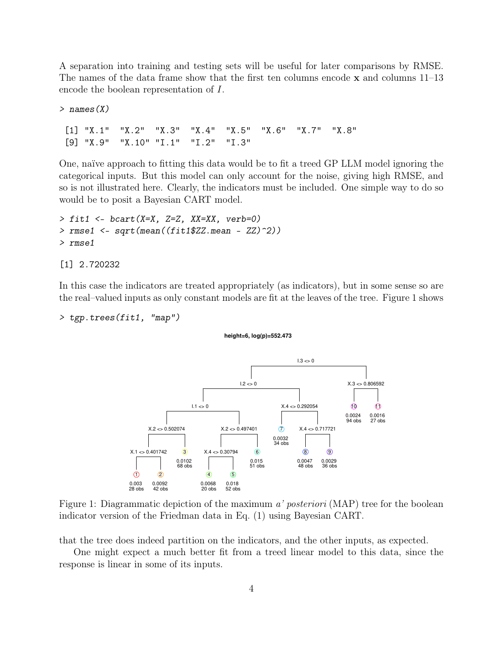A separation into training and testing sets will be useful for later comparisons by RMSE. The names of the data frame show that the first ten columns encode  $x$  and columns 11–13 encode the boolean representation of I.

*> names(X)*

[1] "X.1" "X.2" "X.3" "X.4" "X.5" "X.6" "X.7" "X.8" [9] "X.9" "X.10" "I.1" "I.2" "I.3"

One, naïve approach to fitting this data would be to fit a treed GP LLM model ignoring the categorical inputs. But this model can only account for the noise, giving high RMSE, and so is not illustrated here. Clearly, the indicators must be included. One simple way to do so would be to posit a Bayesian CART model.

```
> fit1 <- bcart(X=X, Z=Z, XX=XX, verb=0)
> rmse1 <- sqrt(mean((fit1$ZZ.mean - ZZ)^2))
> rmse1
```
[1] 2.720232

In this case the indicators are treated appropriately (as indicators), but in some sense so are the real–valued inputs as only constant models are fit at the leaves of the tree. Figure 1 shows

```
> tgp.trees(fit1, "map")
```
#### **height=6, log(p)=552.473**



Figure 1: Diagrammatic depiction of the maximum a' posteriori (MAP) tree for the boolean indicator version of the Friedman data in Eq. (1) using Bayesian CART.

that the tree does indeed partition on the indicators, and the other inputs, as expected.

One might expect a much better fit from a treed linear model to this data, since the response is linear in some of its inputs.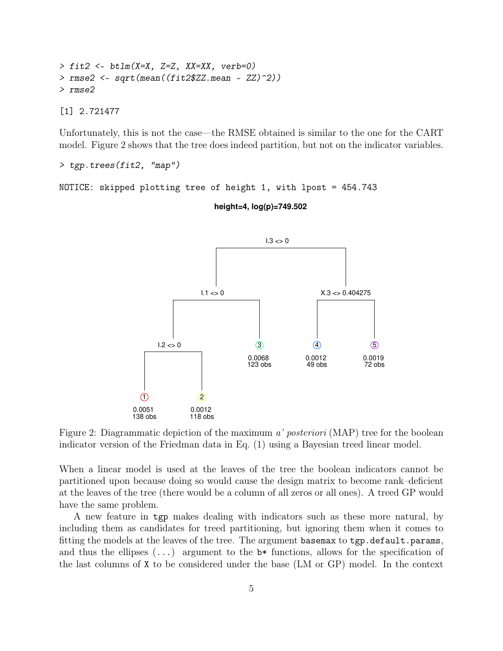```
> fit2 <- btlm(X=X, Z=Z, XX=XX, verb=0)
> rmse2 <- sqrt(mean((fit2$ZZ.mean - ZZ)^2))
> rmse2
```
[1] 2.721477

Unfortunately, this is not the case—the RMSE obtained is similar to the one for the CART model. Figure 2 shows that the tree does indeed partition, but not on the indicator variables.

*> tgp.trees(fit2, "map")*

```
NOTICE: skipped plotting tree of height 1, with lpost = 454.743
```
 **height=4, log(p)=749.502**



Figure 2: Diagrammatic depiction of the maximum a' posteriori (MAP) tree for the boolean indicator version of the Friedman data in Eq. (1) using a Bayesian treed linear model.

When a linear model is used at the leaves of the tree the boolean indicators cannot be partitioned upon because doing so would cause the design matrix to become rank–deficient at the leaves of the tree (there would be a column of all zeros or all ones). A treed GP would have the same problem.

A new feature in tgp makes dealing with indicators such as these more natural, by including them as candidates for treed partitioning, but ignoring them when it comes to fitting the models at the leaves of the tree. The argument basemax to tgp.default.params, and thus the ellipses  $(\ldots)$  argument to the  $\flat^*$  functions, allows for the specification of the last columns of X to be considered under the base (LM or GP) model. In the context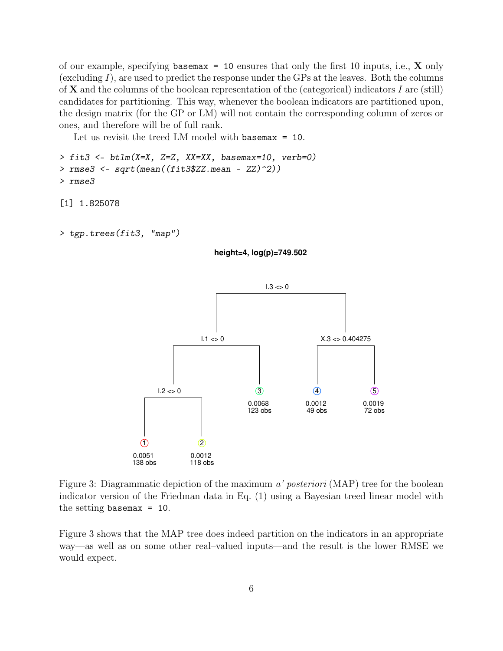of our example, specifying basemax = 10 ensures that only the first 10 inputs, i.e.,  $\bf{X}$  only (excluding  $I$ ), are used to predict the response under the GPs at the leaves. Both the columns of  $X$  and the columns of the boolean representation of the (categorical) indicators  $I$  are (still) candidates for partitioning. This way, whenever the boolean indicators are partitioned upon, the design matrix (for the GP or LM) will not contain the corresponding column of zeros or ones, and therefore will be of full rank.

Let us revisit the treed LM model with basemax = 10.

```
> fit3 <- btlm(X=X, Z=Z, XX=XX, basemax=10, verb=0)
> rmse3 <- sqrt(mean((fit3$ZZ.mean - ZZ)^2))
> rmse3
```
[1] 1.825078

```
> tgp.trees(fit3, "map")
```
#### **height=4, log(p)=749.502**



Figure 3: Diagrammatic depiction of the maximum a' posteriori (MAP) tree for the boolean indicator version of the Friedman data in Eq. (1) using a Bayesian treed linear model with the setting basemax  $= 10$ .

Figure 3 shows that the MAP tree does indeed partition on the indicators in an appropriate way—as well as on some other real–valued inputs—and the result is the lower RMSE we would expect.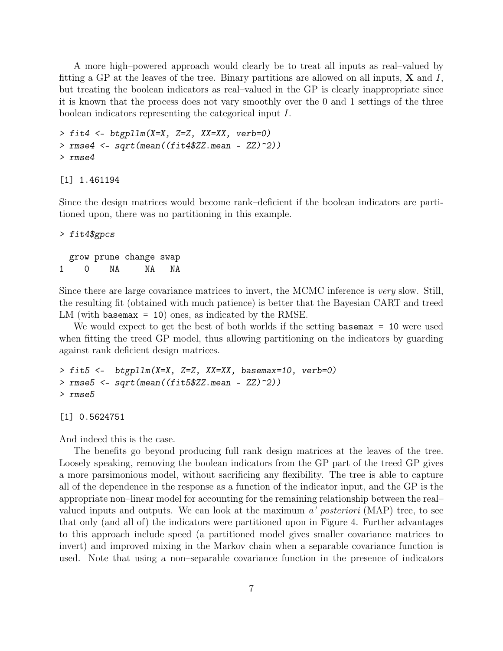A more high–powered approach would clearly be to treat all inputs as real–valued by fitting a GP at the leaves of the tree. Binary partitions are allowed on all inputs,  $X$  and  $I$ , but treating the boolean indicators as real–valued in the GP is clearly inappropriate since it is known that the process does not vary smoothly over the 0 and 1 settings of the three boolean indicators representing the categorical input I.

```
> fit4 <- btgpllm(X=X, Z=Z, XX=XX, verb=0)
> rmse4 <- sqrt(mean((fit4$ZZ.mean - ZZ)^2))
> rmse4
```
[1] 1.461194

Since the design matrices would become rank–deficient if the boolean indicators are partitioned upon, there was no partitioning in this example.

## *> fit4\$gpcs* grow prune change swap 1 0 NA NA NA

Since there are large covariance matrices to invert, the MCMC inference is very slow. Still, the resulting fit (obtained with much patience) is better that the Bayesian CART and treed LM (with basemax = 10) ones, as indicated by the RMSE.

We would expect to get the best of both worlds if the setting basemax = 10 were used when fitting the treed GP model, thus allowing partitioning on the indicators by guarding against rank deficient design matrices.

```
> fit5 <- btgpllm(X=X, Z=Z, XX=XX, basemax=10, verb=0)
> rmse5 <- sqrt(mean((fit5$ZZ.mean - ZZ)^2))
> rmse5
```
[1] 0.5624751

And indeed this is the case.

The benefits go beyond producing full rank design matrices at the leaves of the tree. Loosely speaking, removing the boolean indicators from the GP part of the treed GP gives a more parsimonious model, without sacrificing any flexibility. The tree is able to capture all of the dependence in the response as a function of the indicator input, and the GP is the appropriate non–linear model for accounting for the remaining relationship between the real– valued inputs and outputs. We can look at the maximum  $a'$  *posteriori* (MAP) tree, to see that only (and all of) the indicators were partitioned upon in Figure 4. Further advantages to this approach include speed (a partitioned model gives smaller covariance matrices to invert) and improved mixing in the Markov chain when a separable covariance function is used. Note that using a non–separable covariance function in the presence of indicators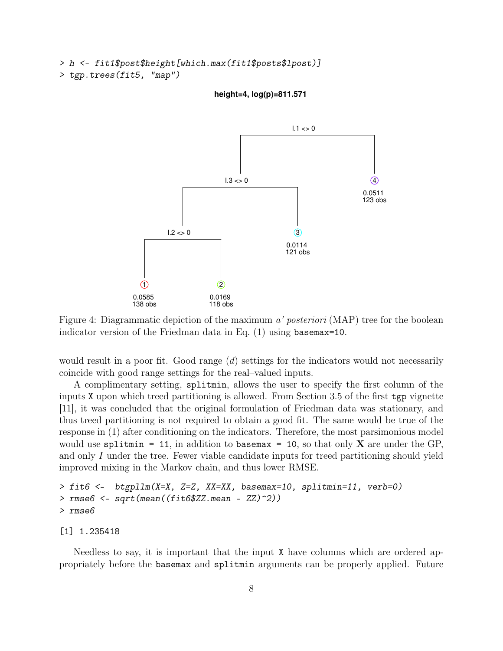```
> h <- fit1$post$height[which.max(fit1$posts$lpost)]
```

```
> tgp.trees(fit5, "map")
```
 **height=4, log(p)=811.571**



Figure 4: Diagrammatic depiction of the maximum a' posteriori (MAP) tree for the boolean indicator version of the Friedman data in Eq. (1) using basemax=10.

would result in a poor fit. Good range  $(d)$  settings for the indicators would not necessarily coincide with good range settings for the real–valued inputs.

A complimentary setting, splitmin, allows the user to specify the first column of the inputs X upon which treed partitioning is allowed. From Section 3.5 of the first tgp vignette [11], it was concluded that the original formulation of Friedman data was stationary, and thus treed partitioning is not required to obtain a good fit. The same would be true of the response in (1) after conditioning on the indicators. Therefore, the most parsimonious model would use splitmin = 11, in addition to basemax = 10, so that only  $X$  are under the GP, and only I under the tree. Fewer viable candidate inputs for treed partitioning should yield improved mixing in the Markov chain, and thus lower RMSE.

```
> fit6 <- btgpllm(X=X, Z=Z, XX=XX, basemax=10, splitmin=11, verb=0)
> rmse6 <- sqrt(mean((fit6$ZZ.mean - ZZ)^2))
> rmse6
```
[1] 1.235418

Needless to say, it is important that the input X have columns which are ordered appropriately before the basemax and splitmin arguments can be properly applied. Future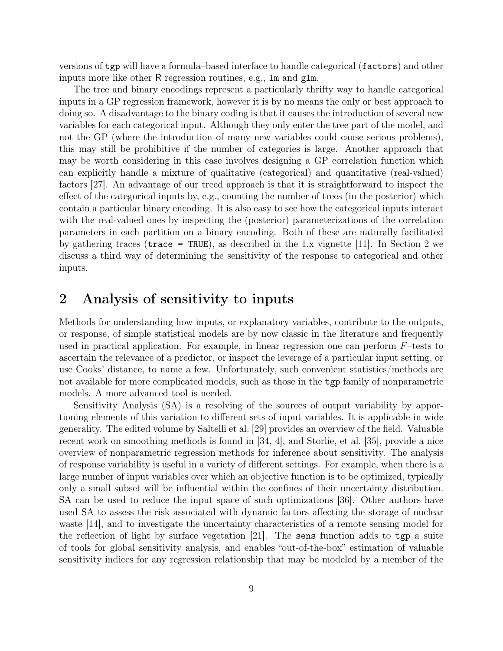versions of tgp will have a formula–based interface to handle categorical (factors) and other inputs more like other R regression routines, e.g., lm and glm.

The tree and binary encodings represent a particularly thrifty way to handle categorical inputs in a GP regression framework, however it is by no means the only or best approach to doing so. A disadvantage to the binary coding is that it causes the introduction of several new variables for each categorical input. Although they only enter the tree part of the model, and not the GP (where the introduction of many new variables could cause serious problems), this may still be prohibitive if the number of categories is large. Another approach that may be worth considering in this case involves designing a GP correlation function which can explicitly handle a mixture of qualitative (categorical) and quantitative (real-valued) factors [27]. An advantage of our treed approach is that it is straightforward to inspect the effect of the categorical inputs by, e.g., counting the number of trees (in the posterior) which contain a particular binary encoding. It is also easy to see how the categorical inputs interact with the real-valued ones by inspecting the (posterior) parameterizations of the correlation parameters in each partition on a binary encoding. Both of these are naturally facilitated by gathering traces (trace = TRUE), as described in the 1.x vignette [11]. In Section 2 we discuss a third way of determining the sensitivity of the response to categorical and other inputs.

## 2 Analysis of sensitivity to inputs

Methods for understanding how inputs, or explanatory variables, contribute to the outputs, or response, of simple statistical models are by now classic in the literature and frequently used in practical application. For example, in linear regression one can perform  $F$ –tests to ascertain the relevance of a predictor, or inspect the leverage of a particular input setting, or use Cooks' distance, to name a few. Unfortunately, such convenient statistics/methods are not available for more complicated models, such as those in the tgp family of nonparametric models. A more advanced tool is needed.

Sensitivity Analysis (SA) is a resolving of the sources of output variability by apportioning elements of this variation to different sets of input variables. It is applicable in wide generality. The edited volume by Saltelli et al. [29] provides an overview of the field. Valuable recent work on smoothing methods is found in [34, 4], and Storlie, et al. [35], provide a nice overview of nonparametric regression methods for inference about sensitivity. The analysis of response variability is useful in a variety of different settings. For example, when there is a large number of input variables over which an objective function is to be optimized, typically only a small subset will be influential within the confines of their uncertainty distribution. SA can be used to reduce the input space of such optimizations [36]. Other authors have used SA to assess the risk associated with dynamic factors affecting the storage of nuclear waste [14], and to investigate the uncertainty characteristics of a remote sensing model for the reflection of light by surface vegetation  $|21|$ . The sens function adds to tgp a suite of tools for global sensitivity analysis, and enables "out-of-the-box" estimation of valuable sensitivity indices for any regression relationship that may be modeled by a member of the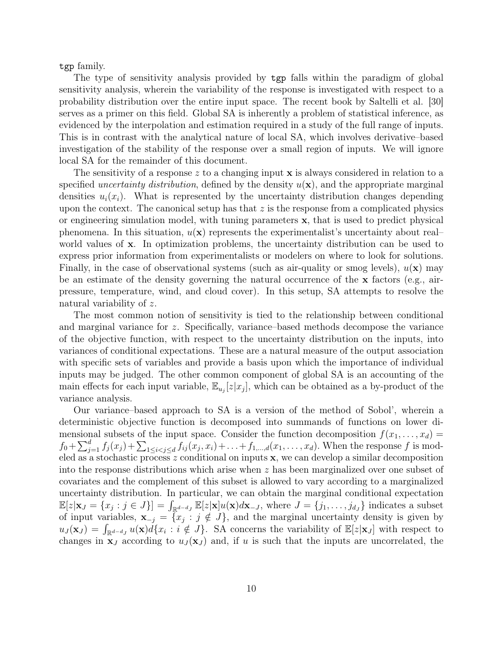tgp family.

The type of sensitivity analysis provided by tgp falls within the paradigm of global sensitivity analysis, wherein the variability of the response is investigated with respect to a probability distribution over the entire input space. The recent book by Saltelli et al. [30] serves as a primer on this field. Global SA is inherently a problem of statistical inference, as evidenced by the interpolation and estimation required in a study of the full range of inputs. This is in contrast with the analytical nature of local SA, which involves derivative–based investigation of the stability of the response over a small region of inputs. We will ignore local SA for the remainder of this document.

The sensitivity of a response z to a changing input  $x$  is always considered in relation to a specified *uncertainty distribution*, defined by the density  $u(\mathbf{x})$ , and the appropriate marginal densities  $u_i(x_i)$ . What is represented by the uncertainty distribution changes depending upon the context. The canonical setup has that  $z$  is the response from a complicated physics or engineering simulation model, with tuning parameters x, that is used to predict physical phenomena. In this situation,  $u(\mathbf{x})$  represents the experimentalist's uncertainty about real– world values of x. In optimization problems, the uncertainty distribution can be used to express prior information from experimentalists or modelers on where to look for solutions. Finally, in the case of observational systems (such as air-quality or smog levels),  $u(\mathbf{x})$  may be an estimate of the density governing the natural occurrence of the x factors (e.g., airpressure, temperature, wind, and cloud cover). In this setup, SA attempts to resolve the natural variability of z.

The most common notion of sensitivity is tied to the relationship between conditional and marginal variance for z. Specifically, variance–based methods decompose the variance of the objective function, with respect to the uncertainty distribution on the inputs, into variances of conditional expectations. These are a natural measure of the output association with specific sets of variables and provide a basis upon which the importance of individual inputs may be judged. The other common component of global SA is an accounting of the main effects for each input variable,  $\mathbb{E}_{u_i}[z|x_j]$ , which can be obtained as a by-product of the variance analysis.

Our variance–based approach to SA is a version of the method of Sobol', wherein a deterministic objective function is decomposed into summands of functions on lower dimensional subsets of the input space. Consider the function decomposition  $f(x_1, \ldots, x_d)$  $f_0 + \sum_{j=1}^d f_j(x_j) + \sum_{1 \le i < j \le d} f_{ij}(x_j, x_i) + \ldots + f_{1, ..., d}(x_1, \ldots, x_d)$ . When the response f is modeled as a stochastic process z conditional on inputs  $x$ , we can develop a similar decomposition into the response distributions which arise when z has been marginalized over one subset of covariates and the complement of this subset is allowed to vary according to a marginalized uncertainty distribution. In particular, we can obtain the marginal conditional expectation  $\mathbb{E}[z|\mathbf{x}_J = \{x_j : j \in J\}] = \int_{\mathbb{R}^{d-d}J} \mathbb{E}[z|\mathbf{x}]u(\mathbf{x})d\mathbf{x}_{-J}$ , where  $J = \{j_1, \ldots, j_{dJ}\}\$  indicates a subset of input variables,  $\mathbf{x}_{-j} = \{x_j : j \notin J\}$ , and the marginal uncertainty density is given by  $u_J(\mathbf{x}_J) = \int_{\mathbb{R}^{d-d_J}} u(\mathbf{x}) d\{x_i : i \notin J\}$ . SA concerns the variability of  $\mathbb{E}[z|\mathbf{x}_J]$  with respect to changes in  $x_J$  according to  $u_J(x_J)$  and, if u is such that the inputs are uncorrelated, the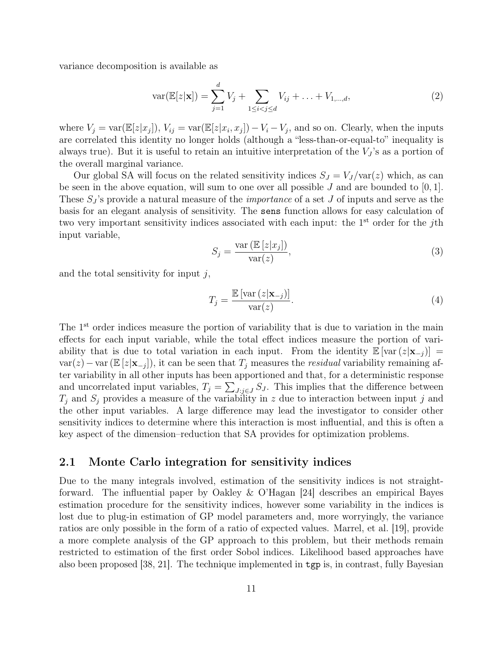variance decomposition is available as

$$
var(\mathbb{E}[z|\mathbf{x}]) = \sum_{j=1}^{d} V_j + \sum_{1 \le i < j \le d} V_{ij} + \ldots + V_{1,\ldots,d},\tag{2}
$$

where  $V_j = \text{var}(\mathbb{E}[z|x_j]), V_{ij} = \text{var}(\mathbb{E}[z|x_i, x_j]) - V_i - V_j$ , and so on. Clearly, when the inputs are correlated this identity no longer holds (although a "less-than-or-equal-to" inequality is always true). But it is useful to retain an intuitive interpretation of the  $V_j$ 's as a portion of the overall marginal variance.

Our global SA will focus on the related sensitivity indices  $S_J = V_J / \text{var}(z)$  which, as can be seen in the above equation, will sum to one over all possible J and are bounded to  $[0, 1]$ . These  $S_I$ 's provide a natural measure of the *importance* of a set J of inputs and serve as the basis for an elegant analysis of sensitivity. The sens function allows for easy calculation of two very important sensitivity indices associated with each input: the 1<sup>st</sup> order for the *i*th input variable,

$$
S_j = \frac{\text{var}\left(\mathbb{E}\left[z|x_j\right]\right)}{\text{var}(z)},\tag{3}
$$

and the total sensitivity for input  $j$ ,

$$
T_j = \frac{\mathbb{E}\left[\text{var}\left(z|\mathbf{x}_{-j}\right)\right]}{\text{var}(z)}.\tag{4}
$$

The 1<sup>st</sup> order indices measure the portion of variability that is due to variation in the main effects for each input variable, while the total effect indices measure the portion of variability that is due to total variation in each input. From the identity  $\mathbb{E} [\text{var}(z|\mathbf{x}_{-i})] =$  $var(z) - var(\mathbb{E}[z|\mathbf{x}_{-j}])$ , it can be seen that  $T_j$  measures the *residual* variability remaining after variability in all other inputs has been apportioned and that, for a deterministic response and uncorrelated input variables,  $T_j = \sum_{J:j\in J} S_j$ . This implies that the difference between  $T_i$  and  $S_j$  provides a measure of the variability in z due to interaction between input j and the other input variables. A large difference may lead the investigator to consider other sensitivity indices to determine where this interaction is most influential, and this is often a key aspect of the dimension–reduction that SA provides for optimization problems.

#### 2.1 Monte Carlo integration for sensitivity indices

Due to the many integrals involved, estimation of the sensitivity indices is not straightforward. The influential paper by Oakley & O'Hagan [24] describes an empirical Bayes estimation procedure for the sensitivity indices, however some variability in the indices is lost due to plug-in estimation of GP model parameters and, more worryingly, the variance ratios are only possible in the form of a ratio of expected values. Marrel, et al. [19], provide a more complete analysis of the GP approach to this problem, but their methods remain restricted to estimation of the first order Sobol indices. Likelihood based approaches have also been proposed [38, 21]. The technique implemented in tgp is, in contrast, fully Bayesian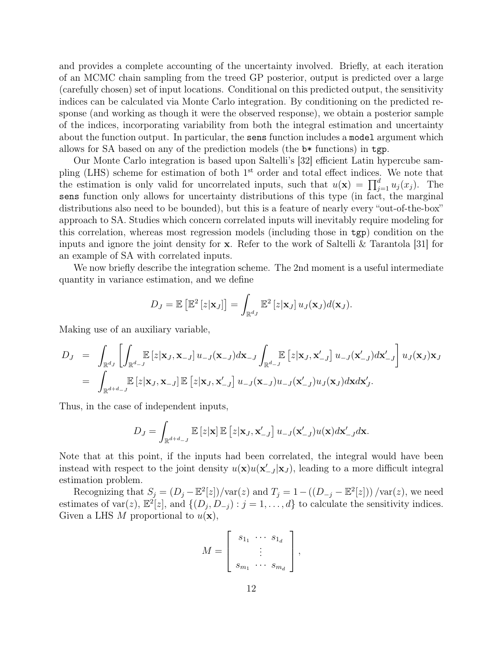and provides a complete accounting of the uncertainty involved. Briefly, at each iteration of an MCMC chain sampling from the treed GP posterior, output is predicted over a large (carefully chosen) set of input locations. Conditional on this predicted output, the sensitivity indices can be calculated via Monte Carlo integration. By conditioning on the predicted response (and working as though it were the observed response), we obtain a posterior sample of the indices, incorporating variability from both the integral estimation and uncertainty about the function output. In particular, the sens function includes a model argument which allows for SA based on any of the prediction models (the b\* functions) in tgp.

Our Monte Carlo integration is based upon Saltelli's [32] efficient Latin hypercube sampling (LHS) scheme for estimation of both  $1<sup>st</sup>$  order and total effect indices. We note that the estimation is only valid for uncorrelated inputs, such that  $u(\mathbf{x}) = \prod_{j=1}^{d} u_j(x_j)$ . The sens function only allows for uncertainty distributions of this type (in fact, the marginal distributions also need to be bounded), but this is a feature of nearly every "out-of-the-box" approach to SA. Studies which concern correlated inputs will inevitably require modeling for this correlation, whereas most regression models (including those in tgp) condition on the inputs and ignore the joint density for  $x$ . Refer to the work of Saltelli & Tarantola [31] for an example of SA with correlated inputs.

We now briefly describe the integration scheme. The 2nd moment is a useful intermediate quantity in variance estimation, and we define

$$
D_J = \mathbb{E}\left[\mathbb{E}^2\left[z|\mathbf{x}_J\right]\right] = \int_{\mathbb{R}^{d_J}} \mathbb{E}^2\left[z|\mathbf{x}_J\right]u_J(\mathbf{x}_J)d(\mathbf{x}_J).
$$

Making use of an auxiliary variable,

$$
D_J = \int_{\mathbb{R}^{d_J}} \left[ \int_{\mathbb{R}^{d-J}} \mathbb{E} \left[ z | \mathbf{x}_J, \mathbf{x}_{-J} \right] u_{-J}(\mathbf{x}_{-J}) d\mathbf{x}_{-J} \int_{\mathbb{R}^{d-J}} \mathbb{E} \left[ z | \mathbf{x}_J, \mathbf{x}'_{-J} \right] u_{-J}(\mathbf{x}'_{-J}) d\mathbf{x}'_{-J} \right] u_J(\mathbf{x}_J) \mathbf{x}_J
$$
  
\n
$$
= \int_{\mathbb{R}^{d+d-J}} \mathbb{E} \left[ z | \mathbf{x}_J, \mathbf{x}_{-J} \right] \mathbb{E} \left[ z | \mathbf{x}_J, \mathbf{x}'_{-J} \right] u_{-J}(\mathbf{x}_{-J}) u_{-J}(\mathbf{x}'_{-J}) u_J(\mathbf{x}_J) d\mathbf{x} d\mathbf{x}'_J.
$$

Thus, in the case of independent inputs,

$$
D_J = \int_{\mathbb{R}^{d+d_{-J}}} \mathbb{E}\left[z|\mathbf{x}\right] \mathbb{E}\left[z|\mathbf{x}_J,\mathbf{x}'_{-J}\right] u_{-J}(\mathbf{x}'_{-J}) u(\mathbf{x}) d\mathbf{x}'_{-J} d\mathbf{x}.
$$

Note that at this point, if the inputs had been correlated, the integral would have been instead with respect to the joint density  $u(\mathbf{x})u(\mathbf{x}'_{-J}|\mathbf{x}_J)$ , leading to a more difficult integral estimation problem.

Recognizing that  $S_j = (D_j - \mathbb{E}^2[z]) / \text{var}(z)$  and  $T_j = 1 - ((D_{-j} - \mathbb{E}^2[z])) / \text{var}(z)$ , we need estimates of var(z),  $\mathbb{E}^{2}[z]$ , and  $\{(D_j, D_{-j}) : j = 1, ..., d\}$  to calculate the sensitivity indices. Given a LHS M proportional to  $u(\mathbf{x})$ ,

$$
M = \left[ \begin{array}{ccc} s_{1_1} & \cdots & s_{1_d} \\ \vdots & \vdots \\ s_{m_1} & \cdots & s_{m_d} \end{array} \right],
$$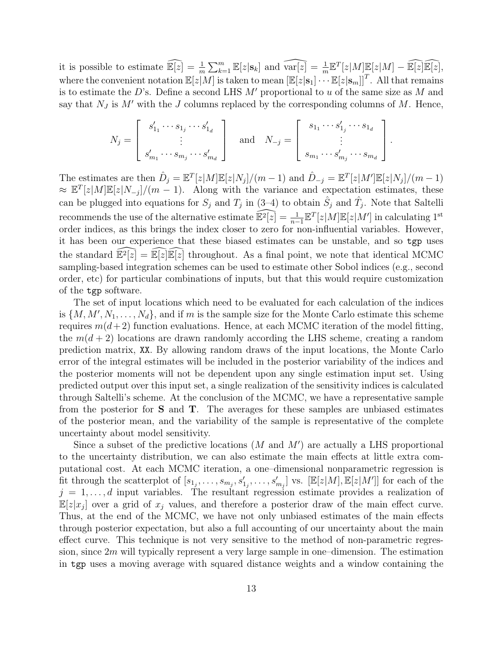it is possible to estimate  $\widehat{\mathbb{E}[z]} = \frac{1}{m} \sum_{k=1}^{m} \mathbb{E}[z|s_k]$  and  $\widehat{\text{var}[z]} = \frac{1}{m} \mathbb{E}^{T}[z|M] \mathbb{E}[z|M] - \widehat{\mathbb{E}[z]}\widehat{\mathbb{E}[z]},$ where the convenient notation  $\mathbb{E}[z|M]$  is taken to mean  $\left[\mathbb{E}[z|\mathbf{s}_1]\cdots\mathbb{E}[z|\mathbf{s}_m]\right]^T$ . All that remains is to estimate the D's. Define a second LHS  $M'$  proportional to u of the same size as M and say that  $N_J$  is M' with the J columns replaced by the corresponding columns of M. Hence,

$$
N_j = \begin{bmatrix} s'_{1_1} \cdots s_{1_j} \cdots s'_{1_d} \\ \vdots \\ s'_{m_1} \cdots s_{m_j} \cdots s'_{m_d} \end{bmatrix} \quad \text{and} \quad N_{-j} = \begin{bmatrix} s_{1_1} \cdots s'_{1_j} \cdots s_{1_d} \\ \vdots \\ s_{m_1} \cdots s'_{m_j} \cdots s_{m_d} \end{bmatrix}.
$$

The estimates are then  $\hat{D}_j = \mathbb{E}^T[z|M]\mathbb{E}[z|N_j]/(m-1)$  and  $\hat{D}_{-j} = \mathbb{E}^T[z|M']\mathbb{E}[z|N_j]/(m-1)$  $\approx \mathbb{E}^{T}[z|M]\mathbb{E}[z|N_{-j}]/(m-1)$ . Along with the variance and expectation estimates, these can be plugged into equations for  $S_j$  and  $T_j$  in (3–4) to obtain  $\hat{S}_j$  and  $\hat{T}_j$ . Note that Saltelli recommends the use of the alternative estimate  $\widehat{\mathbb{E}^2[z]} = \frac{1}{n-1} \mathbb{E}^T[z|M]\mathbb{E}[z|M']$  in calculating 1<sup>st</sup> order indices, as this brings the index closer to zero for non-influential variables. However, it has been our experience that these biased estimates can be unstable, and so tgp uses the standard  $\widehat{\mathbb{E}^2[z]} = \widehat{\mathbb{E}[z]}\widehat{\mathbb{E}[z]}$  throughout. As a final point, we note that identical MCMC sampling-based integration schemes can be used to estimate other Sobol indices (e.g., second order, etc) for particular combinations of inputs, but that this would require customization of the tgp software.

The set of input locations which need to be evaluated for each calculation of the indices is  $\{M, M', N_1, \ldots, N_d\}$ , and if m is the sample size for the Monte Carlo estimate this scheme requires  $m(d+2)$  function evaluations. Hence, at each MCMC iteration of the model fitting, the  $m(d + 2)$  locations are drawn randomly according the LHS scheme, creating a random prediction matrix, XX. By allowing random draws of the input locations, the Monte Carlo error of the integral estimates will be included in the posterior variability of the indices and the posterior moments will not be dependent upon any single estimation input set. Using predicted output over this input set, a single realization of the sensitivity indices is calculated through Saltelli's scheme. At the conclusion of the MCMC, we have a representative sample from the posterior for  $S$  and  $T$ . The averages for these samples are unbiased estimates of the posterior mean, and the variability of the sample is representative of the complete uncertainty about model sensitivity.

Since a subset of the predictive locations  $(M \text{ and } M')$  are actually a LHS proportional to the uncertainty distribution, we can also estimate the main effects at little extra computational cost. At each MCMC iteration, a one–dimensional nonparametric regression is fit through the scatterplot of  $[s_{1_j},\ldots,s_{m_j},s'_{1_j},\ldots,s'_{m_j}]$  vs.  $[\mathbb{E}[z|M],\mathbb{E}[z|M']]$  for each of the  $j = 1, \ldots, d$  input variables. The resultant regression estimate provides a realization of  $\mathbb{E}[z|x_j]$  over a grid of  $x_j$  values, and therefore a posterior draw of the main effect curve. Thus, at the end of the MCMC, we have not only unbiased estimates of the main effects through posterior expectation, but also a full accounting of our uncertainty about the main effect curve. This technique is not very sensitive to the method of non-parametric regression, since  $2m$  will typically represent a very large sample in one–dimension. The estimation in tgp uses a moving average with squared distance weights and a window containing the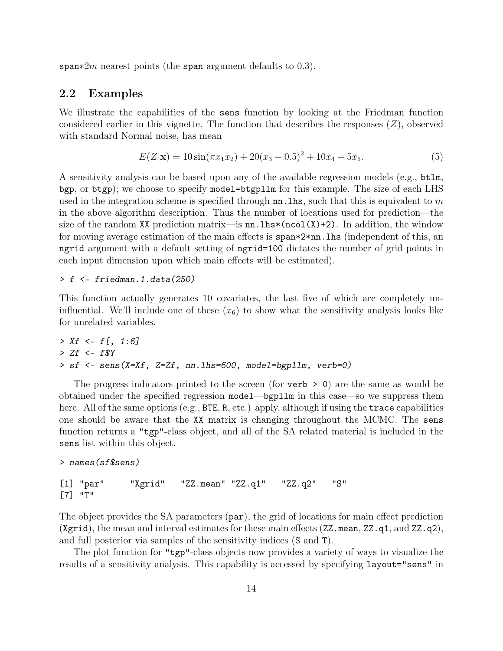span∗2m nearest points (the span argument defaults to 0.3).

### 2.2 Examples

We illustrate the capabilities of the sens function by looking at the Friedman function considered earlier in this vignette. The function that describes the responses  $(Z)$ , observed with standard Normal noise, has mean

$$
E(Z|\mathbf{x}) = 10\sin(\pi x_1 x_2) + 20(x_3 - 0.5)^2 + 10x_4 + 5x_5.
$$
 (5)

A sensitivity analysis can be based upon any of the available regression models (e.g., btlm, bgp, or btgp); we choose to specify model=btgpllm for this example. The size of each LHS used in the integration scheme is specified through  $nn$ . This, such that this is equivalent to m in the above algorithm description. Thus the number of locations used for prediction—the size of the random XX prediction matrix—is  $nn.lhs*(ncol(X)+2)$ . In addition, the window for moving average estimation of the main effects is span\*2\*nn.lhs (independent of this, an ngrid argument with a default setting of ngrid=100 dictates the number of grid points in each input dimension upon which main effects will be estimated).

#### *> f <- friedman.1.data(250)*

This function actually generates 10 covariates, the last five of which are completely uninfluential. We'll include one of these  $(x<sub>6</sub>)$  to show what the sensitivity analysis looks like for unrelated variables.

```
> Xf <- f[, 1:6]
> Zf <- f$Y
> sf <- sens(X=Xf, Z=Zf, nn.lhs=600, model=bgpllm, verb=0)
```
The progress indicators printed to the screen (for verb  $> 0$ ) are the same as would be obtained under the specified regression model—bgpllm in this case—so we suppress them here. All of the same options (e.g., BTE, R, etc.) apply, although if using the trace capabilities one should be aware that the XX matrix is changing throughout the MCMC. The sens function returns a "tgp"-class object, and all of the SA related material is included in the sens list within this object.

```
> names(sf$sens)
```

```
[1] "par" "Xgrid" "ZZ.mean" "ZZ.q1" "ZZ.q2" "S"
[7] "T"
```
The object provides the SA parameters (par), the grid of locations for main effect prediction (Xgrid), the mean and interval estimates for these main effects (ZZ.mean, ZZ.q1, and ZZ.q2), and full posterior via samples of the sensitivity indices (S and T).

The plot function for "tgp"-class objects now provides a variety of ways to visualize the results of a sensitivity analysis. This capability is accessed by specifying layout="sens" in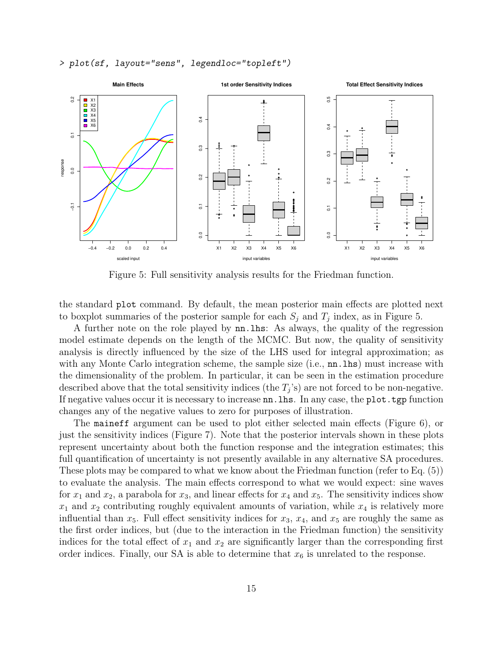*> plot(sf, layout="sens", legendloc="topleft")*



Figure 5: Full sensitivity analysis results for the Friedman function.

the standard plot command. By default, the mean posterior main effects are plotted next to boxplot summaries of the posterior sample for each  $S_j$  and  $T_j$  index, as in Figure 5.

A further note on the role played by nn.lhs: As always, the quality of the regression model estimate depends on the length of the MCMC. But now, the quality of sensitivity analysis is directly influenced by the size of the LHS used for integral approximation; as with any Monte Carlo integration scheme, the sample size (i.e.,  $\text{nn}$ . lhs) must increase with the dimensionality of the problem. In particular, it can be seen in the estimation procedure described above that the total sensitivity indices (the  $T_j$ 's) are not forced to be non-negative. If negative values occur it is necessary to increase nn.lhs. In any case, the plot.tgp function changes any of the negative values to zero for purposes of illustration.

The maineff argument can be used to plot either selected main effects (Figure 6), or just the sensitivity indices (Figure 7). Note that the posterior intervals shown in these plots represent uncertainty about both the function response and the integration estimates; this full quantification of uncertainty is not presently available in any alternative SA procedures. These plots may be compared to what we know about the Friedman function (refer to Eq. (5)) to evaluate the analysis. The main effects correspond to what we would expect: sine waves for  $x_1$  and  $x_2$ , a parabola for  $x_3$ , and linear effects for  $x_4$  and  $x_5$ . The sensitivity indices show  $x_1$  and  $x_2$  contributing roughly equivalent amounts of variation, while  $x_4$  is relatively more influential than  $x_5$ . Full effect sensitivity indices for  $x_3, x_4$ , and  $x_5$  are roughly the same as the first order indices, but (due to the interaction in the Friedman function) the sensitivity indices for the total effect of  $x_1$  and  $x_2$  are significantly larger than the corresponding first order indices. Finally, our SA is able to determine that  $x_6$  is unrelated to the response.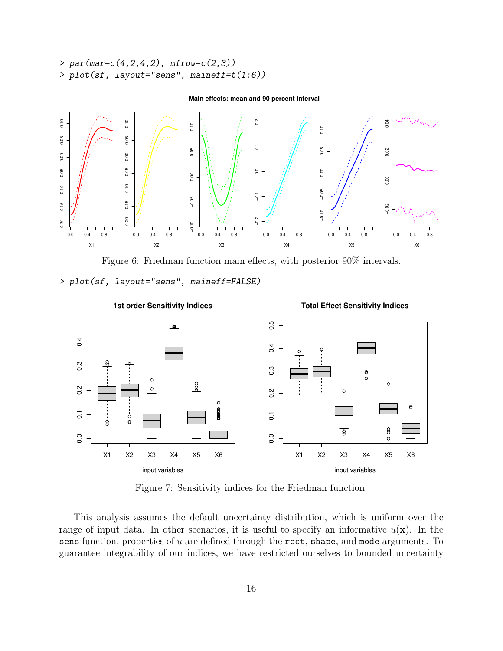```
> par(mar=c(4,2,4,2), mfrow=c(2,3))
> plot(sf, layout="sens", maineff=t(1:6))
```


#### **Main effects: mean and 90 percent interval**

Figure 6: Friedman function main effects, with posterior 90% intervals.

*> plot(sf, layout="sens", maineff=FALSE)*



Figure 7: Sensitivity indices for the Friedman function.

This analysis assumes the default uncertainty distribution, which is uniform over the range of input data. In other scenarios, it is useful to specify an informative  $u(\mathbf{x})$ . In the sens function, properties of  $u$  are defined through the rect, shape, and mode arguments. To guarantee integrability of our indices, we have restricted ourselves to bounded uncertainty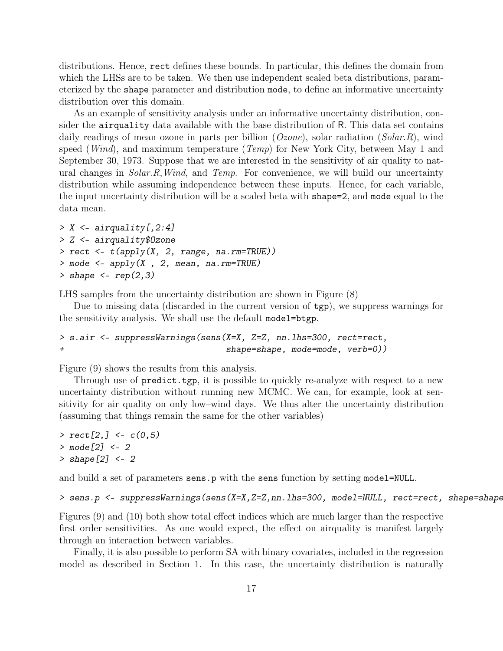distributions. Hence, rect defines these bounds. In particular, this defines the domain from which the LHSs are to be taken. We then use independent scaled beta distributions, parameterized by the shape parameter and distribution mode, to define an informative uncertainty distribution over this domain.

As an example of sensitivity analysis under an informative uncertainty distribution, consider the airquality data available with the base distribution of R. This data set contains daily readings of mean ozone in parts per billion  $(Ozone)$ , solar radiation  $(Solar, R)$ , wind speed (*Wind*), and maximum temperature (*Temp*) for New York City, between May 1 and September 30, 1973. Suppose that we are interested in the sensitivity of air quality to natural changes in  $Solar.R, Wind$ , and Temp. For convenience, we will build our uncertainty distribution while assuming independence between these inputs. Hence, for each variable, the input uncertainty distribution will be a scaled beta with shape=2, and mode equal to the data mean.

```
> X <- airquality[,2:4]
> Z <- airquality$Ozone
> rect <- t(apply(X, 2, range, na.rm=TRUE))
> mode <- apply(X , 2, mean, na.rm=TRUE)
> shape <- rep(2,3)
```
LHS samples from the uncertainty distribution are shown in Figure (8)

Due to missing data (discarded in the current version of tgp), we suppress warnings for the sensitivity analysis. We shall use the default model=btgp.

```
> s.air <- suppressWarnings(sens(X=X, Z=Z, nn.lhs=300, rect=rect,
+ shape=shape, mode=mode, verb=0))
```
Figure (9) shows the results from this analysis.

Through use of predict.tgp, it is possible to quickly re-analyze with respect to a new uncertainty distribution without running new MCMC. We can, for example, look at sensitivity for air quality on only low–wind days. We thus alter the uncertainty distribution (assuming that things remain the same for the other variables)

*> rect[2,] <- c(0,5) > mode[2] <- 2 > shape[2] <- 2*

and build a set of parameters sens.p with the sens function by setting model=NULL.

```
> sens.p <- suppressWarnings(sens(X=X,Z=Z,nn.lhs=300, model=NULL, rect=rect, shape=shape,
```
Figures (9) and (10) both show total effect indices which are much larger than the respective first order sensitivities. As one would expect, the effect on airquality is manifest largely through an interaction between variables.

Finally, it is also possible to perform SA with binary covariates, included in the regression model as described in Section 1. In this case, the uncertainty distribution is naturally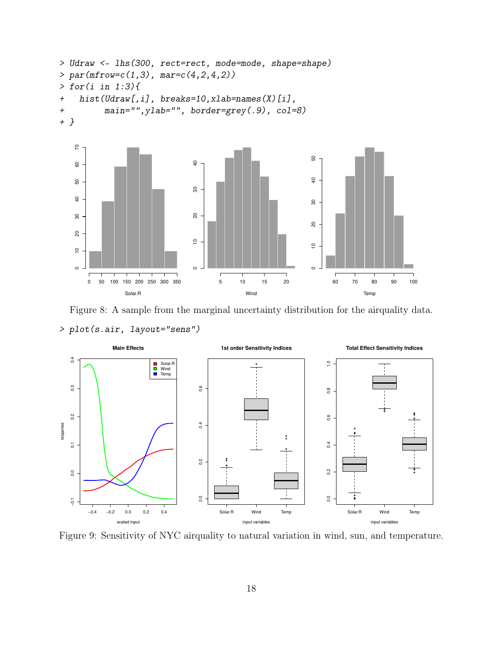```
> Udraw <- lhs(300, rect=rect, mode=mode, shape=shape)
> par(mfrow=c(1,3), mar=c(4,2,4,2))
> for(i in 1:3){
+ hist(Udraw[,i], breaks=10,xlab=names(X)[i],
+ main="",ylab="", border=grey(.9), col=8)
+ }
```


Figure 8: A sample from the marginal uncertainty distribution for the airquality data. *> plot(s.air, layout="sens")*



Figure 9: Sensitivity of NYC airquality to natural variation in wind, sun, and temperature.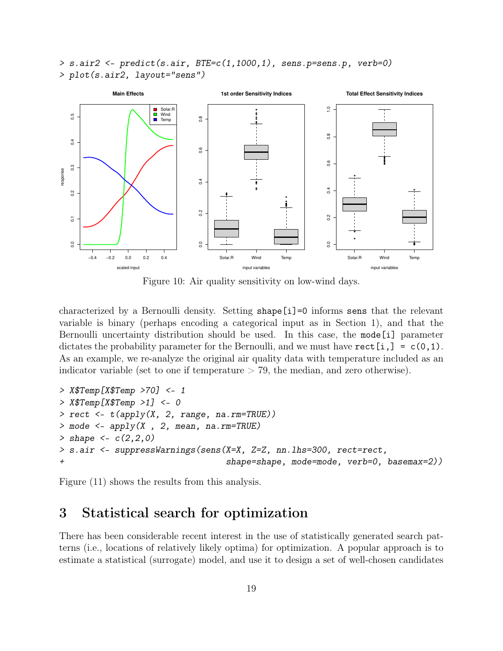*> s.air2 <- predict(s.air, BTE=c(1,1000,1), sens.p=sens.p, verb=0) > plot(s.air2, layout="sens")*



Figure 10: Air quality sensitivity on low-wind days.

characterized by a Bernoulli density. Setting shape[i]=0 informs sens that the relevant variable is binary (perhaps encoding a categorical input as in Section 1), and that the Bernoulli uncertainty distribution should be used. In this case, the mode[i] parameter dictates the probability parameter for the Bernoulli, and we must have  $rect[i,] = c(0,1)$ . As an example, we re-analyze the original air quality data with temperature included as an indicator variable (set to one if temperature  $> 79$ , the median, and zero otherwise).

```
> X$Temp[X$Temp >70] <- 1
> X$Temp[X$Temp >1] <- 0
> rect <- t(apply(X, 2, range, na.rm=TRUE))
> mode <- apply(X , 2, mean, na.rm=TRUE)
> shape <- c(2,2,0)
> s.air <- suppressWarnings(sens(X=X, Z=Z, nn.lhs=300, rect=rect,
+ shape=shape, mode=mode, verb=0, basemax=2))
```
Figure (11) shows the results from this analysis.

## 3 Statistical search for optimization

There has been considerable recent interest in the use of statistically generated search patterns (i.e., locations of relatively likely optima) for optimization. A popular approach is to estimate a statistical (surrogate) model, and use it to design a set of well-chosen candidates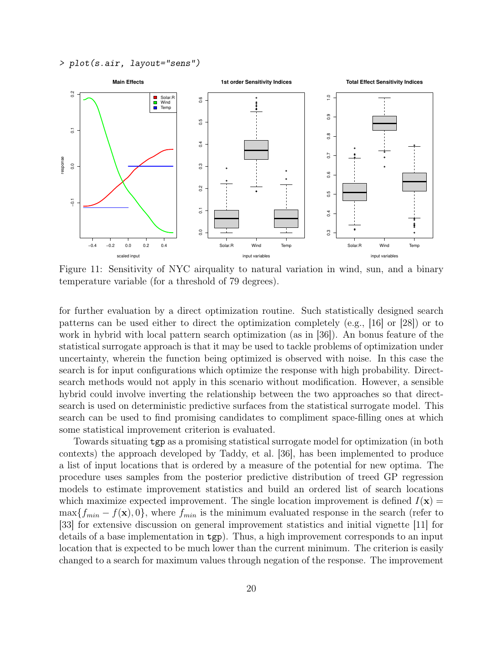*> plot(s.air, layout="sens")*



Figure 11: Sensitivity of NYC airquality to natural variation in wind, sun, and a binary temperature variable (for a threshold of 79 degrees).

for further evaluation by a direct optimization routine. Such statistically designed search patterns can be used either to direct the optimization completely (e.g., [16] or [28]) or to work in hybrid with local pattern search optimization (as in [36]). An bonus feature of the statistical surrogate approach is that it may be used to tackle problems of optimization under uncertainty, wherein the function being optimized is observed with noise. In this case the search is for input configurations which optimize the response with high probability. Directsearch methods would not apply in this scenario without modification. However, a sensible hybrid could involve inverting the relationship between the two approaches so that directsearch is used on deterministic predictive surfaces from the statistical surrogate model. This search can be used to find promising candidates to compliment space-filling ones at which some statistical improvement criterion is evaluated.

Towards situating tgp as a promising statistical surrogate model for optimization (in both contexts) the approach developed by Taddy, et al. [36], has been implemented to produce a list of input locations that is ordered by a measure of the potential for new optima. The procedure uses samples from the posterior predictive distribution of treed GP regression models to estimate improvement statistics and build an ordered list of search locations which maximize expected improvement. The single location improvement is defined  $I(\mathbf{x}) =$  $\max\{f_{min} - f(\mathbf{x}), 0\}$ , where  $f_{min}$  is the minimum evaluated response in the search (refer to [33] for extensive discussion on general improvement statistics and initial vignette [11] for details of a base implementation in tgp). Thus, a high improvement corresponds to an input location that is expected to be much lower than the current minimum. The criterion is easily changed to a search for maximum values through negation of the response. The improvement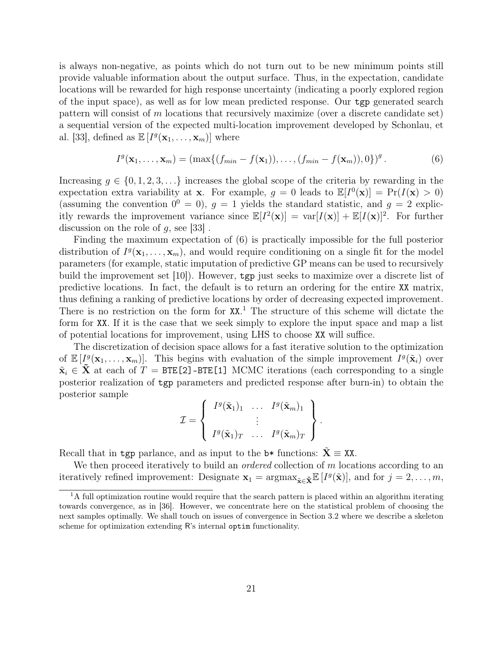is always non-negative, as points which do not turn out to be new minimum points still provide valuable information about the output surface. Thus, in the expectation, candidate locations will be rewarded for high response uncertainty (indicating a poorly explored region of the input space), as well as for low mean predicted response. Our tgp generated search pattern will consist of m locations that recursively maximize (over a discrete candidate set) a sequential version of the expected multi-location improvement developed by Schonlau, et al. [33], defined as  $\mathbb{E}[I^g(\mathbf{x}_1,\ldots,\mathbf{x}_m)]$  where

$$
I^g(\mathbf{x}_1,\ldots,\mathbf{x}_m)=(\max\{(f_{min}-f(\mathbf{x}_1)),\ldots,(f_{min}-f(\mathbf{x}_m)),0\})^g.
$$
 (6)

Increasing  $g \in \{0, 1, 2, 3, \ldots\}$  increases the global scope of the criteria by rewarding in the expectation extra variability at **x**. For example,  $g = 0$  leads to  $\mathbb{E}[I^0(\mathbf{x})] = \Pr(I(\mathbf{x}) > 0)$ (assuming the convention  $0^0 = 0$ ),  $g = 1$  yields the standard statistic, and  $g = 2$  explicitly rewards the improvement variance since  $\mathbb{E}[I^2(\mathbf{x})] = \text{var}[I(\mathbf{x})] + \mathbb{E}[I(\mathbf{x})]^2$ . For further discussion on the role of  $q$ , see [33].

Finding the maximum expectation of (6) is practically impossible for the full posterior distribution of  $I^g(\mathbf{x}_1,\ldots,\mathbf{x}_m)$ , and would require conditioning on a single fit for the model parameters (for example, static imputation of predictive GP means can be used to recursively build the improvement set [10]). However, tgp just seeks to maximize over a discrete list of predictive locations. In fact, the default is to return an ordering for the entire XX matrix, thus defining a ranking of predictive locations by order of decreasing expected improvement. There is no restriction on the form for  $XX$ <sup>1</sup>. The structure of this scheme will dictate the form for XX. If it is the case that we seek simply to explore the input space and map a list of potential locations for improvement, using LHS to choose XX will suffice.

The discretization of decision space allows for a fast iterative solution to the optimization of  $\mathbb{E}[I^g(\mathbf{x}_1,\ldots,\mathbf{x}_m)]$ . This begins with evaluation of the simple improvement  $I^g(\tilde{\mathbf{x}}_i)$  over  $\tilde{\mathbf{x}}_i \in \tilde{\mathbf{X}}$  at each of T = BTE[2]-BTE[1] MCMC iterations (each corresponding to a single posterior realization of tgp parameters and predicted response after burn-in) to obtain the posterior sample

$$
\mathcal{I} = \left\{ \begin{array}{ccc} I^g(\tilde{\mathbf{x}}_1)_1 & \ldots & I^g(\tilde{\mathbf{x}}_m)_1 \\ \vdots & & \vdots \\ I^g(\tilde{\mathbf{x}}_1)_T & \ldots & I^g(\tilde{\mathbf{x}}_m)_T \end{array} \right\}.
$$

Recall that in tgp parlance, and as input to the  $b*$  functions:  $X \equiv XX$ .

We then proceed iteratively to build an *ordered* collection of  $m$  locations according to an iteratively refined improvement: Designate  $\mathbf{x}_1 = \operatorname{argmax}_{\tilde{\mathbf{x}} \in \tilde{\mathbf{X}}} \mathbb{E}\left[I^g(\tilde{\mathbf{x}})\right]$ , and for  $j = 2, \ldots, m$ ,

 $1A$  full optimization routine would require that the search pattern is placed within an algorithm iterating towards convergence, as in [36]. However, we concentrate here on the statistical problem of choosing the next samples optimally. We shall touch on issues of convergence in Section 3.2 where we describe a skeleton scheme for optimization extending R's internal optim functionality.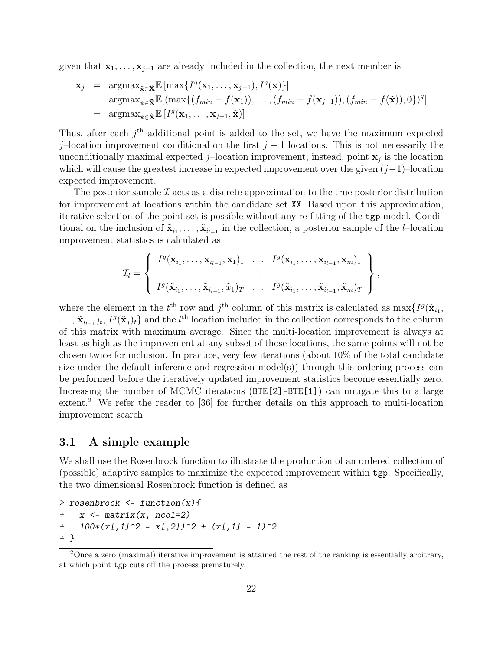given that  $x_1, \ldots, x_{j-1}$  are already included in the collection, the next member is

$$
\mathbf{x}_{j} = \operatorname{argmax}_{\tilde{\mathbf{x}} \in \tilde{\mathbf{X}}} \mathbb{E} \left[ \max \{ I^{g}(\mathbf{x}_{1}, \ldots, \mathbf{x}_{j-1}), I^{g}(\tilde{\mathbf{x}}) \} \right]
$$
\n
$$
= \operatorname{argmax}_{\tilde{\mathbf{x}} \in \tilde{\mathbf{X}}} \mathbb{E} \left[ \left( \max \{ (f_{min} - f(\mathbf{x}_{1})), \ldots, (f_{min} - f(\mathbf{x}_{j-1})), (f_{min} - f(\tilde{\mathbf{x}})), 0 \} \right)^{g} \right]
$$
\n
$$
= \operatorname{argmax}_{\tilde{\mathbf{x}} \in \tilde{\mathbf{X}}} \mathbb{E} \left[ I^{g}(\mathbf{x}_{1}, \ldots, \mathbf{x}_{j-1}, \tilde{\mathbf{x}}) \right].
$$

Thus, after each  $j<sup>th</sup>$  additional point is added to the set, we have the maximum expected j–location improvement conditional on the first  $j - 1$  locations. This is not necessarily the unconditionally maximal expected  $j$ -location improvement; instead, point  $\mathbf{x}_j$  is the location which will cause the greatest increase in expected improvement over the given  $(j-1)$ –location expected improvement.

The posterior sample  $\mathcal I$  acts as a discrete approximation to the true posterior distribution for improvement at locations within the candidate set XX. Based upon this approximation, iterative selection of the point set is possible without any re-fitting of the tgp model. Conditional on the inclusion of  $\tilde{\mathbf{x}}_{i_1}, \ldots, \tilde{\mathbf{x}}_{i_{l-1}}$  in the collection, a posterior sample of the *l*–location improvement statistics is calculated as

$$
\mathcal{I}_l = \left\{ \begin{array}{c} I^g(\tilde{\mathbf{x}}_{i_1}, \ldots, \tilde{\mathbf{x}}_{i_{l-1}}, \tilde{\mathbf{x}}_1)_1 & \ldots & I^g(\tilde{\mathbf{x}}_{i_1}, \ldots, \tilde{\mathbf{x}}_{i_{l-1}}, \tilde{\mathbf{x}}_m)_1 \\ \vdots & \vdots \\ I^g(\tilde{\mathbf{x}}_{i_1}, \ldots, \tilde{\mathbf{x}}_{i_{l-1}}, \tilde{x}_1)_T & \ldots & I^g(\tilde{\mathbf{x}}_{i_1}, \ldots, \tilde{\mathbf{x}}_{i_{l-1}}, \tilde{\mathbf{x}}_m)_T \end{array} \right\},
$$

where the element in the  $t^{\text{th}}$  row and  $j^{\text{th}}$  column of this matrix is calculated as  $\max\{I^g(\tilde{\mathbf{x}}_{i_1},\)$  $\ldots, \tilde{\mathbf{x}}_{i_{l-1}}_t$ ,  $I^g(\tilde{\mathbf{x}}_j)_t$  and the  $l^{\text{th}}$  location included in the collection corresponds to the column of this matrix with maximum average. Since the multi-location improvement is always at least as high as the improvement at any subset of those locations, the same points will not be chosen twice for inclusion. In practice, very few iterations (about 10% of the total candidate size under the default inference and regression model(s)) through this ordering process can be performed before the iteratively updated improvement statistics become essentially zero. Increasing the number of MCMC iterations (BTE[2]-BTE[1]) can mitigate this to a large extent.<sup>2</sup> We refer the reader to [36] for further details on this approach to multi-location improvement search.

#### 3.1 A simple example

We shall use the Rosenbrock function to illustrate the production of an ordered collection of (possible) adaptive samples to maximize the expected improvement within tgp. Specifically, the two dimensional Rosenbrock function is defined as

```
> rosenbrock <- function(x){
+ x <- matrix(x, ncol=2)
+ 100*(x[,1]^2 - x[,2])^2 + (x[,1] - 1)^2
+ }
```
<sup>&</sup>lt;sup>2</sup>Once a zero (maximal) iterative improvement is attained the rest of the ranking is essentially arbitrary, at which point tgp cuts off the process prematurely.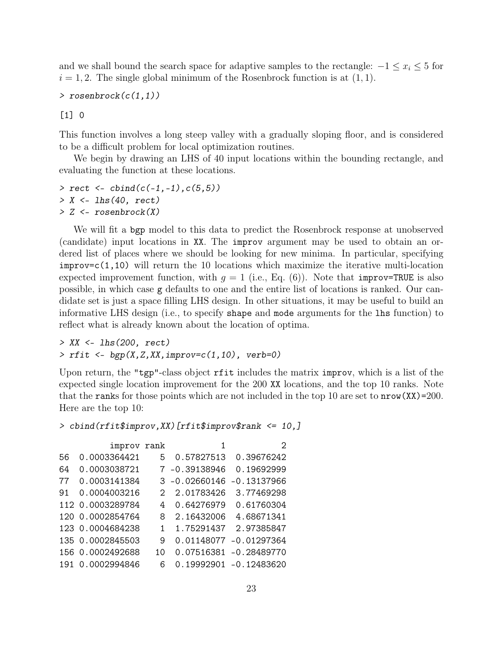and we shall bound the search space for adaptive samples to the rectangle:  $-1 \le x_i \le 5$  for  $i = 1, 2$ . The single global minimum of the Rosenbrock function is at  $(1, 1)$ .

```
> rosenbrock(c(1,1))
```
[1] 0

This function involves a long steep valley with a gradually sloping floor, and is considered to be a difficult problem for local optimization routines.

We begin by drawing an LHS of 40 input locations within the bounding rectangle, and evaluating the function at these locations.

*> rect <- cbind(c(-1,-1),c(5,5)) > X <- lhs(40, rect) > Z <- rosenbrock(X)*

We will fit a bgp model to this data to predict the Rosenbrock response at unobserved (candidate) input locations in XX. The improv argument may be used to obtain an ordered list of places where we should be looking for new minima. In particular, specifying improv=c(1,10) will return the 10 locations which maximize the iterative multi-location expected improvement function, with  $g = 1$  (i.e., Eq. (6)). Note that improv=TRUE is also possible, in which case g defaults to one and the entire list of locations is ranked. Our candidate set is just a space filling LHS design. In other situations, it may be useful to build an informative LHS design (i.e., to specify shape and mode arguments for the lhs function) to reflect what is already known about the location of optima.

*> XX <- lhs(200, rect) > rfit <- bgp(X,Z,XX,improv=c(1,10), verb=0)*

Upon return, the "tgp"-class object rfit includes the matrix improv, which is a list of the expected single location improvement for the 200 XX locations, and the top 10 ranks. Note that the ranks for those points which are not included in the top 10 are set to  $nrow(XX)=200$ . Here are the top 10:

```
> cbind(rfit$improv,XX)[rfit$improv$rank <= 10,]
```

|     | improv rank      |    | 1                | 2                      |
|-----|------------------|----|------------------|------------------------|
| 56  | 0.0003364421     | 5. | 0.57827513       | 0.39676242             |
| 64  | 0.0003038721     |    | 7 -0.39138946    | 0.19692999             |
| 77  | 0.0003141384     |    | $3 - 0.02660146$ | $-0.13137966$          |
| .91 | 0.0004003216     | 2  | 2.01783426       | 3.77469298             |
|     | 112 0.0003289784 | 4  | 0.64276979       | 0.61760304             |
|     | 120 0.0002854764 | 8  | 2.16432006       | 4.68671341             |
|     | 123 0.0004684238 | 1  | 1.75291437       | 2.97385847             |
|     | 135 0.0002845503 | 9  | 0.01148077       | $-0.01297364$          |
|     | 156 0.0002492688 | 10 |                  | 0.07516381 -0.28489770 |
| 191 | 0.0002994846     | 6  |                  | 0.19992901 -0.12483620 |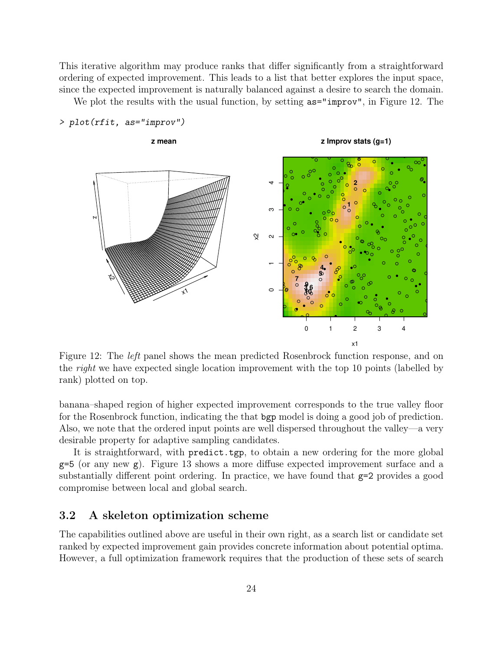This iterative algorithm may produce ranks that differ significantly from a straightforward ordering of expected improvement. This leads to a list that better explores the input space, since the expected improvement is naturally balanced against a desire to search the domain.

We plot the results with the usual function, by setting  $\texttt{as}=\text{improv}$ , in Figure 12. The



Figure 12: The left panel shows the mean predicted Rosenbrock function response, and on the *right* we have expected single location improvement with the top 10 points (labelled by rank) plotted on top.

banana–shaped region of higher expected improvement corresponds to the true valley floor for the Rosenbrock function, indicating the that bgp model is doing a good job of prediction. Also, we note that the ordered input points are well dispersed throughout the valley—a very desirable property for adaptive sampling candidates.

It is straightforward, with predict.tgp, to obtain a new ordering for the more global  $g=5$  (or any new  $g$ ). Figure 13 shows a more diffuse expected improvement surface and a substantially different point ordering. In practice, we have found that  $g=2$  provides a good compromise between local and global search.

## 3.2 A skeleton optimization scheme

The capabilities outlined above are useful in their own right, as a search list or candidate set ranked by expected improvement gain provides concrete information about potential optima. However, a full optimization framework requires that the production of these sets of search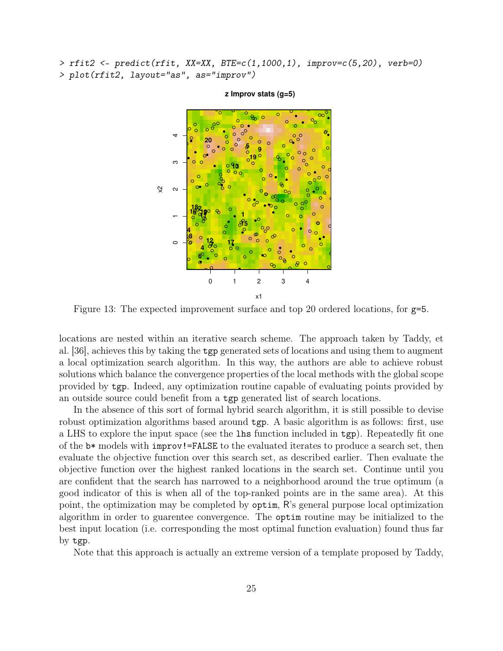*> rfit2 <- predict(rfit, XX=XX, BTE=c(1,1000,1), improv=c(5,20), verb=0) > plot(rfit2, layout="as", as="improv")*



#### **z Improv stats (g=5)**

Figure 13: The expected improvement surface and top 20 ordered locations, for g=5.

locations are nested within an iterative search scheme. The approach taken by Taddy, et al. [36], achieves this by taking the tgp generated sets of locations and using them to augment a local optimization search algorithm. In this way, the authors are able to achieve robust solutions which balance the convergence properties of the local methods with the global scope provided by tgp. Indeed, any optimization routine capable of evaluating points provided by an outside source could benefit from a tgp generated list of search locations.

In the absence of this sort of formal hybrid search algorithm, it is still possible to devise robust optimization algorithms based around tgp. A basic algorithm is as follows: first, use a LHS to explore the input space (see the lhs function included in tgp). Repeatedly fit one of the b\* models with improv!=FALSE to the evaluated iterates to produce a search set, then evaluate the objective function over this search set, as described earlier. Then evaluate the objective function over the highest ranked locations in the search set. Continue until you are confident that the search has narrowed to a neighborhood around the true optimum (a good indicator of this is when all of the top-ranked points are in the same area). At this point, the optimization may be completed by optim, R's general purpose local optimization algorithm in order to guarentee convergence. The optim routine may be initialized to the best input location (i.e. corresponding the most optimal function evaluation) found thus far by tgp.

Note that this approach is actually an extreme version of a template proposed by Taddy,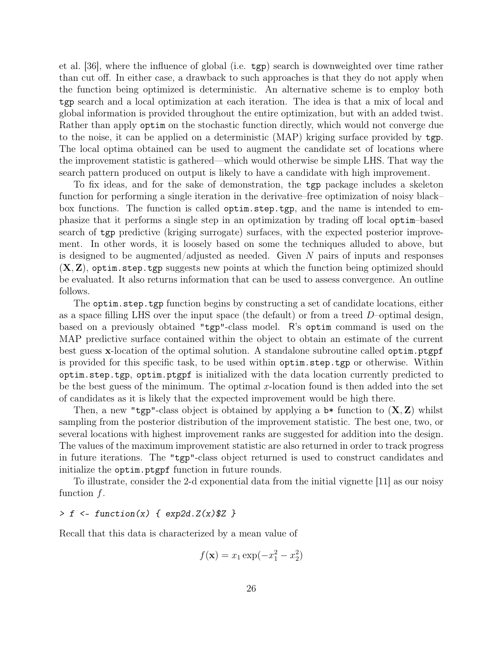et al. [36], where the influence of global (i.e. tgp) search is downweighted over time rather than cut off. In either case, a drawback to such approaches is that they do not apply when the function being optimized is deterministic. An alternative scheme is to employ both tgp search and a local optimization at each iteration. The idea is that a mix of local and global information is provided throughout the entire optimization, but with an added twist. Rather than apply optim on the stochastic function directly, which would not converge due to the noise, it can be applied on a deterministic (MAP) kriging surface provided by tgp. The local optima obtained can be used to augment the candidate set of locations where the improvement statistic is gathered—which would otherwise be simple LHS. That way the search pattern produced on output is likely to have a candidate with high improvement.

To fix ideas, and for the sake of demonstration, the tgp package includes a skeleton function for performing a single iteration in the derivative–free optimization of noisy black– box functions. The function is called optim.step.tgp, and the name is intended to emphasize that it performs a single step in an optimization by trading off local optim–based search of tgp predictive (kriging surrogate) surfaces, with the expected posterior improvement. In other words, it is loosely based on some the techniques alluded to above, but is designed to be augmented/adjusted as needed. Given  $N$  pairs of inputs and responses  $(X, Z)$ , optim.step.tgp suggests new points at which the function being optimized should be evaluated. It also returns information that can be used to assess convergence. An outline follows.

The optim.step.tgp function begins by constructing a set of candidate locations, either as a space filling LHS over the input space (the default) or from a treed  $D$ –optimal design, based on a previously obtained "tgp"-class model. R's optim command is used on the MAP predictive surface contained within the object to obtain an estimate of the current best guess x-location of the optimal solution. A standalone subroutine called optim.ptgpf is provided for this specific task, to be used within optim.step.tgp or otherwise. Within optim.step.tgp, optim.ptgpf is initialized with the data location currently predicted to be the best guess of the minimum. The optimal x-location found is then added into the set of candidates as it is likely that the expected improvement would be high there.

Then, a new "tgp"-class object is obtained by applying a  $\mathfrak{b}^*$  function to  $(\mathbf{X}, \mathbf{Z})$  whilst sampling from the posterior distribution of the improvement statistic. The best one, two, or several locations with highest improvement ranks are suggested for addition into the design. The values of the maximum improvement statistic are also returned in order to track progress in future iterations. The "tgp"-class object returned is used to construct candidates and initialize the optim.ptgpf function in future rounds.

To illustrate, consider the 2-d exponential data from the initial vignette [11] as our noisy function  $f$ .

#### *> f <- function(x) { exp2d.Z(x)\$Z }*

Recall that this data is characterized by a mean value of

$$
f(\mathbf{x}) = x_1 \exp(-x_1^2 - x_2^2)
$$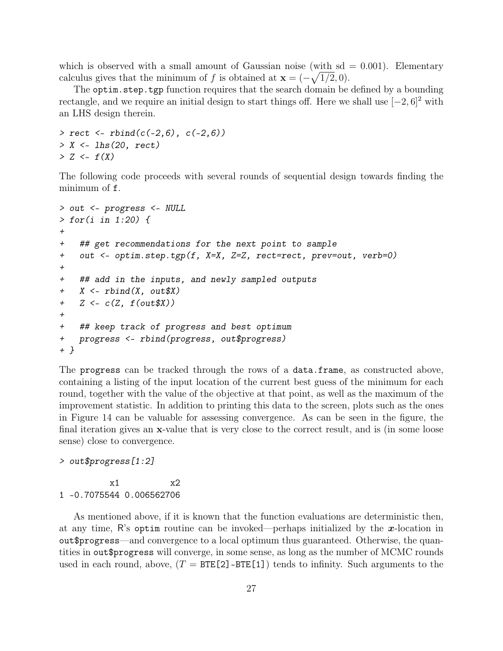which is observed with a small amount of Gaussian noise (with  $sd = 0.001$ ). Elementary calculus gives that the minimum of f is obtained at  $\mathbf{x} = (-\sqrt{1/2}, 0)$ .

The optim.step.tgp function requires that the search domain be defined by a bounding rectangle, and we require an initial design to start things off. Here we shall use  $[-2, 6]^2$  with an LHS design therein.

```
> rect <- rbind(c(-2,6), c(-2,6))
> X <- lhs(20, rect)
> Z <- f(X)
```
The following code proceeds with several rounds of sequential design towards finding the minimum of f.

```
> out <- progress <- NULL
> for(i in 1:20) {
+
+ ## get recommendations for the next point to sample
+ out <- optim.step.tgp(f, X=X, Z=Z, rect=rect, prev=out, verb=0)
+
+ ## add in the inputs, and newly sampled outputs
+ X <- rbind(X, out$X)
+ Z <- c(Z, f(out$X))
+
+ ## keep track of progress and best optimum
+ progress <- rbind(progress, out$progress)
+ }
```
The progress can be tracked through the rows of a data.frame, as constructed above, containing a listing of the input location of the current best guess of the minimum for each round, together with the value of the objective at that point, as well as the maximum of the improvement statistic. In addition to printing this data to the screen, plots such as the ones in Figure 14 can be valuable for assessing convergence. As can be seen in the figure, the final iteration gives an x-value that is very close to the correct result, and is (in some loose sense) close to convergence.

*> out\$progress[1:2]*

 $x1 \t x2$ 1 -0.7075544 0.006562706

As mentioned above, if it is known that the function evaluations are deterministic then, at any time, R's optim routine can be invoked—perhaps initialized by the x-location in out\$progress—and convergence to a local optimum thus guaranteed. Otherwise, the quantities in out\$progress will converge, in some sense, as long as the number of MCMC rounds used in each round, above,  $(T = BTE[2] - BTE[1])$  tends to infinity. Such arguments to the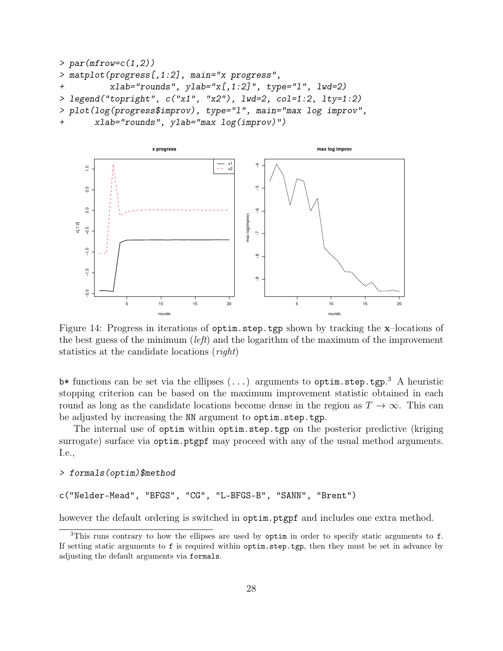```
> par(mfrow=c(1,2))
> matplot(progress[,1:2], main="x progress",
+ xlab="rounds", ylab="x[,1:2]", type="l", lwd=2)
> legend("topright", c("x1", "x2"), lwd=2, col=1:2, lty=1:2)
> plot(log(progress$improv), type="l", main="max log improv",
+ xlab="rounds", ylab="max log(improv)")
```


Figure 14: Progress in iterations of optim.step.tgp shown by tracking the x–locations of the best guess of the minimum (*left*) and the logarithm of the maximum of the improvement statistics at the candidate locations (right)

 $\mathbf{b}^*$  functions can be set via the ellipses  $(\ldots)$  arguments to  $\text{optim}.\texttt{step.tgp}.^3$  A heuristic stopping criterion can be based on the maximum improvement statistic obtained in each round as long as the candidate locations become dense in the region as  $T \to \infty$ . This can be adjusted by increasing the NN argument to optim.step.tgp.

The internal use of optim within optim.step.tgp on the posterior predictive (kriging surrogate) surface via optim.ptgpf may proceed with any of the usual method arguments. I.e.,

#### *> formals(optim)\$method*

c("Nelder-Mead", "BFGS", "CG", "L-BFGS-B", "SANN", "Brent")

however the default ordering is switched in optim.ptgpf and includes one extra method.

<sup>&</sup>lt;sup>3</sup>This runs contrary to how the ellipses are used by optim in order to specify static arguments to f. If setting static arguments to f is required within optim.step.tgp, then they must be set in advance by adjusting the default arguments via formals.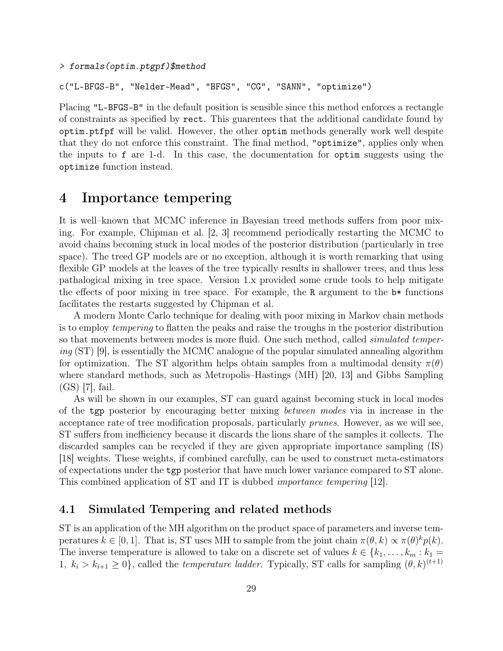```
> formals(optim.ptgpf)$method
```
c("L-BFGS-B", "Nelder-Mead", "BFGS", "CG", "SANN", "optimize")

Placing "L-BFGS-B" in the default position is sensible since this method enforces a rectangle of constraints as specified by rect. This guarentees that the additional candidate found by optim.ptfpf will be valid. However, the other optim methods generally work well despite that they do not enforce this constraint. The final method, "optimize", applies only when the inputs to f are 1-d. In this case, the documentation for optim suggests using the optimize function instead.

## 4 Importance tempering

It is well–known that MCMC inference in Bayesian treed methods suffers from poor mixing. For example, Chipman et al. [2, 3] recommend periodically restarting the MCMC to avoid chains becoming stuck in local modes of the posterior distribution (particularly in tree space). The treed GP models are or no exception, although it is worth remarking that using flexible GP models at the leaves of the tree typically results in shallower trees, and thus less pathalogical mixing in tree space. Version 1.x provided some crude tools to help mitigate the effects of poor mixing in tree space. For example, the R argument to the  $\mathbf{b}^*$  functions facilitates the restarts suggested by Chipman et al.

A modern Monte Carlo technique for dealing with poor mixing in Markov chain methods is to employ tempering to flatten the peaks and raise the troughs in the posterior distribution so that movements between modes is more fluid. One such method, called *simulated temper*ing (ST) [9], is essentially the MCMC analogue of the popular simulated annealing algorithm for optimization. The ST algorithm helps obtain samples from a multimodal density  $\pi(\theta)$ where standard methods, such as Metropolis–Hastings (MH) [20, 13] and Gibbs Sampling (GS) [7], fail.

As will be shown in our examples, ST can guard against becoming stuck in local modes of the tgp posterior by encouraging better mixing between modes via in increase in the acceptance rate of tree modification proposals, particularly prunes. However, as we will see, ST suffers from inefficiency because it discards the lions share of the samples it collects. The discarded samples can be recycled if they are given appropriate importance sampling (IS) [18] weights. These weights, if combined carefully, can be used to construct meta-estimators of expectations under the tgp posterior that have much lower variance compared to ST alone. This combined application of ST and IT is dubbed importance tempering [12].

### 4.1 Simulated Tempering and related methods

ST is an application of the MH algorithm on the product space of parameters and inverse temperatures  $k \in [0, 1]$ . That is, ST uses MH to sample from the joint chain  $\pi(\theta, k) \propto \pi(\theta)^k p(k)$ . The inverse temperature is allowed to take on a discrete set of values  $k \in \{k_1, \ldots, k_m : k_1 =$ 1,  $k_i > k_{i+1} \geq 0$ , called the *temperature ladder*. Typically, ST calls for sampling  $(\theta, k)^{(t+1)}$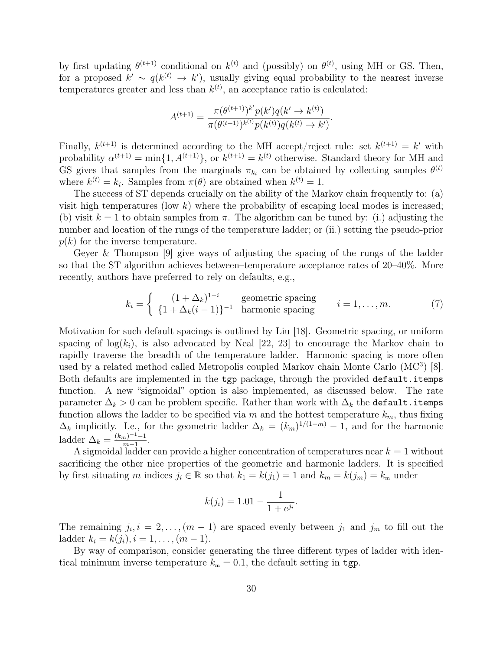by first updating  $\theta^{(t+1)}$  conditional on  $k^{(t)}$  and (possibly) on  $\theta^{(t)}$ , using MH or GS. Then, for a proposed  $k' \sim q(k^{(t)} \to k')$ , usually giving equal probability to the nearest inverse temperatures greater and less than  $k^{(t)}$ , an acceptance ratio is calculated:

$$
A^{(t+1)} = \frac{\pi(\theta^{(t+1)})^{k'} p(k') q(k' \to k^{(t)})}{\pi(\theta^{(t+1)})^{k^{(t)}} p(k^{(t)}) q(k^{(t)} \to k')}.
$$

Finally,  $k^{(t+1)}$  is determined according to the MH accept/reject rule: set  $k^{(t+1)} = k'$  with probability  $\alpha^{(t+1)} = \min\{1, A^{(t+1)}\},\$  or  $k^{(t+1)} = k^{(t)}$  otherwise. Standard theory for MH and GS gives that samples from the marginals  $\pi_{k_i}$  can be obtained by collecting samples  $\theta^{(t)}$ where  $k^{(t)} = k_i$ . Samples from  $\pi(\theta)$  are obtained when  $k^{(t)} = 1$ .

The success of ST depends crucially on the ability of the Markov chain frequently to: (a) visit high temperatures (low  $k$ ) where the probability of escaping local modes is increased; (b) visit  $k = 1$  to obtain samples from  $\pi$ . The algorithm can be tuned by: (i.) adjusting the number and location of the rungs of the temperature ladder; or (ii.) setting the pseudo-prior  $p(k)$  for the inverse temperature.

Geyer & Thompson [9] give ways of adjusting the spacing of the rungs of the ladder so that the ST algorithm achieves between–temperature acceptance rates of 20–40%. More recently, authors have preferred to rely on defaults, e.g.,

$$
k_i = \begin{cases} (1 + \Delta_k)^{1-i} & \text{geometric spacing} \\ \{1 + \Delta_k(i-1)\}^{-1} & \text{harmonic spacing} \end{cases} \qquad i = 1, \dots, m. \tag{7}
$$

Motivation for such default spacings is outlined by Liu [18]. Geometric spacing, or uniform spacing of  $log(k_i)$ , is also advocated by Neal [22, 23] to encourage the Markov chain to rapidly traverse the breadth of the temperature ladder. Harmonic spacing is more often used by a related method called Metropolis coupled Markov chain Monte Carlo (MC<sup>3</sup>) [8]. Both defaults are implemented in the tgp package, through the provided default.itemps function. A new "sigmoidal" option is also implemented, as discussed below. The rate parameter  $\Delta_k > 0$  can be problem specific. Rather than work with  $\Delta_k$  the default.itemps function allows the ladder to be specified via m and the hottest temperature  $k_m$ , thus fixing  $\Delta_k$  implicitly. I.e., for the geometric ladder  $\Delta_k = (k_m)^{1/(1-m)} - 1$ , and for the harmonic ladder  $\Delta_k = \frac{(k_m)^{-1} - 1}{m - 1}$  $\frac{m}{m-1}$ .

A sigmoidal ladder can provide a higher concentration of temperatures near  $k = 1$  without sacrificing the other nice properties of the geometric and harmonic ladders. It is specified by first situating m indices  $j_i \in \mathbb{R}$  so that  $k_1 = k(j_1) = 1$  and  $k_m = k(j_m) = k_m$  under

$$
k(j_i) = 1.01 - \frac{1}{1 + e^{j_i}}.
$$

The remaining  $j_i, i = 2, \ldots, (m-1)$  are spaced evenly between  $j_1$  and  $j_m$  to fill out the ladder  $k_i = k(j_i), i = 1, \ldots, (m-1).$ 

By way of comparison, consider generating the three different types of ladder with identical minimum inverse temperature  $k<sub>m</sub> = 0.1$ , the default setting in tgp.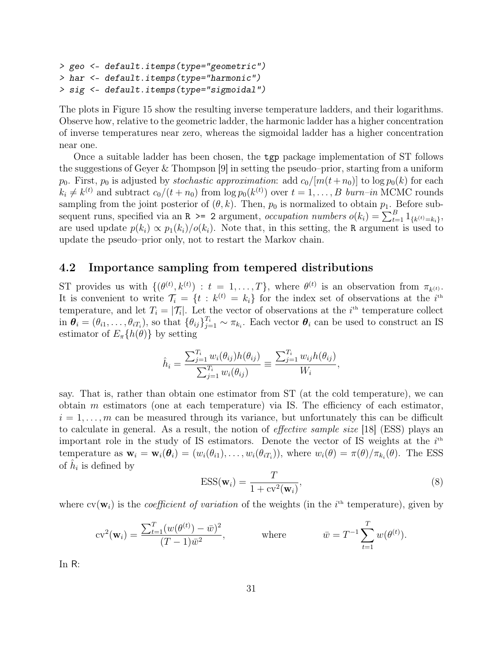```
> geo <- default.itemps(type="geometric")
> har <- default.itemps(type="harmonic")
> sig <- default.itemps(type="sigmoidal")
```
The plots in Figure 15 show the resulting inverse temperature ladders, and their logarithms. Observe how, relative to the geometric ladder, the harmonic ladder has a higher concentration of inverse temperatures near zero, whereas the sigmoidal ladder has a higher concentration near one.

Once a suitable ladder has been chosen, the tgp package implementation of ST follows the suggestions of Geyer & Thompson [9] in setting the pseudo–prior, starting from a uniform  $p_0$ . First,  $p_0$  is adjusted by *stochastic approximation*: add  $c_0/[m(t+n_0)]$  to  $\log p_0(k)$  for each  $k_i \neq k^{(t)}$  and subtract  $c_0/(t + n_0)$  from  $\log p_0(k^{(t)})$  over  $t = 1, \ldots, B$  burn-in MCMC rounds sampling from the joint posterior of  $(\theta, k)$ . Then,  $p_0$  is normalized to obtain  $p_1$ . Before subsequent runs, specified via an R > = 2 argument, *occupation numbers*  $o(k_i) = \sum_{t=1}^{B} 1_{\{k^{(t)}=k_i\}},$ are used update  $p(k_i) \propto p_1(k_i)/o(k_i)$ . Note that, in this setting, the R argument is used to update the pseudo–prior only, not to restart the Markov chain.

### 4.2 Importance sampling from tempered distributions

ST provides us with  $\{(\theta^{(t)}, k^{(t)}) : t = 1, \ldots, T\}$ , where  $\theta^{(t)}$  is an observation from  $\pi_{k^{(t)}}$ . It is convenient to write  $\mathcal{T}_i = \{t : k^{(t)} = k_i\}$  for the index set of observations at the  $i^{\text{th}}$ temperature, and let  $T_i = |\mathcal{T}_i|$ . Let the vector of observations at the *i*<sup>th</sup> temperature collect in  $\theta_i = (\theta_{i1}, \dots, \theta_{iT_i})$ , so that  $\{\theta_{ij}\}_{j=1}^{T_i} \sim \pi_{k_i}$ . Each vector  $\theta_i$  can be used to construct an IS estimator of  $E_{\pi}\lbrace h(\theta)\rbrace$  by setting

$$
\hat{h}_i = \frac{\sum_{j=1}^{T_i} w_i(\theta_{ij}) h(\theta_{ij})}{\sum_{j=1}^{T_i} w_i(\theta_{ij})} \equiv \frac{\sum_{j=1}^{T_i} w_{ij} h(\theta_{ij})}{W_i},
$$

say. That is, rather than obtain one estimator from ST (at the cold temperature), we can obtain  $m$  estimators (one at each temperature) via IS. The efficiency of each estimator,  $i = 1, \ldots, m$  can be measured through its variance, but unfortunately this can be difficult to calculate in general. As a result, the notion of effective sample size [18] (ESS) plays an important role in the study of IS estimators. Denote the vector of IS weights at the  $i<sup>th</sup>$ temperature as  $\mathbf{w}_i = \mathbf{w}_i(\theta_i) = (w_i(\theta_{i1}), \dots, w_i(\theta_{iT_i}))$ , where  $w_i(\theta) = \pi(\theta)/\pi_{k_i}(\theta)$ . The ESS of  $\hat{h}_i$  is defined by

$$
ESS(\mathbf{w}_i) = \frac{T}{1 + \text{cv}^2(\mathbf{w}_i)},
$$
\n(8)

where  $cv(\mathbf{w}_i)$  is the *coefficient of variation* of the weights (in the *i*<sup>th</sup> temperature), given by

$$
cv^{2}(\mathbf{w}_{i}) = \frac{\sum_{t=1}^{T} (w(\theta^{(t)}) - \bar{w})^{2}}{(T-1)\bar{w}^{2}}, \quad \text{where} \quad \bar{w} = T^{-1} \sum_{t=1}^{T} w(\theta^{(t)}).
$$

In R: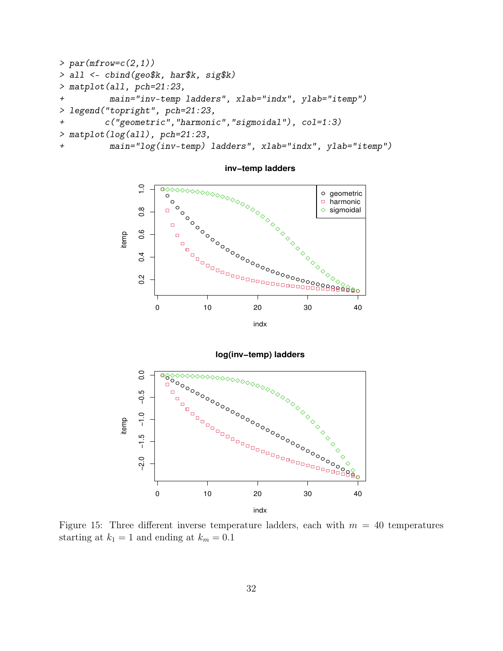```
> par(mfrow=c(2,1))
> all <- cbind(geo$k, har$k, sig$k)
> matplot(all, pch=21:23,
+ main="inv-temp ladders", xlab="indx", ylab="itemp")
> legend("topright", pch=21:23,
+ c("geometric","harmonic","sigmoidal"), col=1:3)
> matplot(log(all), pch=21:23,
+ main="log(inv-temp) ladders", xlab="indx", ylab="itemp")
```


**inv−temp ladders**



Figure 15: Three different inverse temperature ladders, each with  $m = 40$  temperatures starting at  $k_1 = 1$  and ending at  $k_m = 0.1$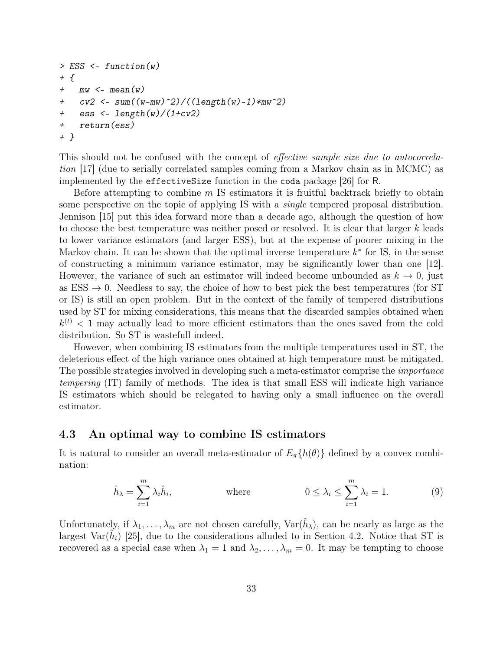```
> ESS <- function(w)
+ {
+ mw <- mean(w)
+ cv2 <- sum((w-mw)^2)/((length(w)-1)*mw^2)
+ ess <- length(w)/(1+cv2)
+ return(ess)
+ }
```
This should not be confused with the concept of effective sample size due to autocorrelation [17] (due to serially correlated samples coming from a Markov chain as in MCMC) as implemented by the effectiveSize function in the coda package [26] for R.

Before attempting to combine m IS estimators it is fruitful backtrack briefly to obtain some perspective on the topic of applying IS with a *single* tempered proposal distribution. Jennison [15] put this idea forward more than a decade ago, although the question of how to choose the best temperature was neither posed or resolved. It is clear that larger k leads to lower variance estimators (and larger ESS), but at the expense of poorer mixing in the Markov chain. It can be shown that the optimal inverse temperature  $k^*$  for IS, in the sense of constructing a minimum variance estimator, may be significantly lower than one [12]. However, the variance of such an estimator will indeed become unbounded as  $k \to 0$ , just as ESS  $\rightarrow$  0. Needless to say, the choice of how to best pick the best temperatures (for ST or IS) is still an open problem. But in the context of the family of tempered distributions used by ST for mixing considerations, this means that the discarded samples obtained when  $k^{(t)}$  < 1 may actually lead to more efficient estimators than the ones saved from the cold distribution. So ST is wastefull indeed.

However, when combining IS estimators from the multiple temperatures used in ST, the deleterious effect of the high variance ones obtained at high temperature must be mitigated. The possible strategies involved in developing such a meta-estimator comprise the importance tempering (IT) family of methods. The idea is that small ESS will indicate high variance IS estimators which should be relegated to having only a small influence on the overall estimator.

#### 4.3 An optimal way to combine IS estimators

It is natural to consider an overall meta-estimator of  $E_{\pi}\lbrace h(\theta)\rbrace$  defined by a convex combination:

$$
\hat{h}_{\lambda} = \sum_{i=1}^{m} \lambda_i \hat{h}_i, \qquad \text{where} \qquad 0 \le \lambda_i \le \sum_{i=1}^{m} \lambda_i = 1. \qquad (9)
$$

Unfortunately, if  $\lambda_1, \ldots, \lambda_m$  are not chosen carefully,  $\text{Var}(\hat{h}_\lambda)$ , can be nearly as large as the largest Var $(\hat{h}_i)$  [25], due to the considerations alluded to in Section 4.2. Notice that ST is recovered as a special case when  $\lambda_1 = 1$  and  $\lambda_2, \ldots, \lambda_m = 0$ . It may be tempting to choose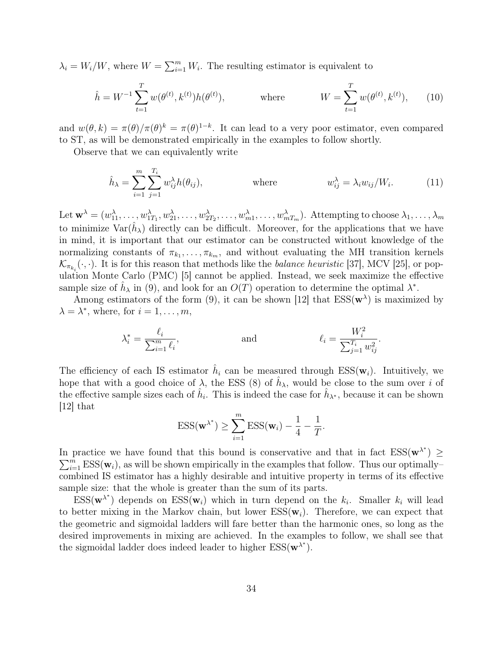$\lambda_i = W_i/W$ , where  $W = \sum_{i=1}^m W_i$ . The resulting estimator is equivalent to

$$
\hat{h} = W^{-1} \sum_{t=1}^{T} w(\theta^{(t)}, k^{(t)}) h(\theta^{(t)}), \qquad \text{where} \qquad W = \sum_{t=1}^{T} w(\theta^{(t)}, k^{(t)}), \qquad (10)
$$

and  $w(\theta, k) = \pi(\theta)/\pi(\theta)^k = \pi(\theta)^{1-k}$ . It can lead to a very poor estimator, even compared to ST, as will be demonstrated empirically in the examples to follow shortly.

Observe that we can equivalently write

$$
\hat{h}_{\lambda} = \sum_{i=1}^{m} \sum_{j=1}^{T_i} w_{ij}^{\lambda} h(\theta_{ij}), \qquad \text{where} \qquad w_{ij}^{\lambda} = \lambda_i w_{ij} / W_i. \qquad (11)
$$

Let  $\mathbf{w}^{\lambda} = (w_{11}^{\lambda}, \ldots, w_{1T_1}^{\lambda}, w_{21}^{\lambda}, \ldots, w_{2T_2}^{\lambda}, \ldots, w_{m1}^{\lambda}, \ldots, w_{mT_m}^{\lambda})$ . Attempting to choose  $\lambda_1, \ldots, \lambda_m$ to minimize  $\text{Var}(\hat{h}_{\lambda})$  directly can be difficult. Moreover, for the applications that we have in mind, it is important that our estimator can be constructed without knowledge of the normalizing constants of  $\pi_{k_1}, \ldots, \pi_{k_m}$ , and without evaluating the MH transition kernels  $\mathcal{K}_{\pi_{k_i}}(\cdot, \cdot)$ . It is for this reason that methods like the *balance heuristic* [37], MCV [25], or population Monte Carlo (PMC) [5] cannot be applied. Instead, we seek maximize the effective sample size of  $\hat{h}_{\lambda}$  in (9), and look for an  $O(T)$  operation to determine the optimal  $\lambda^*$ .

Among estimators of the form (9), it can be shown [12] that  $ESS(w^{\lambda})$  is maximized by  $\lambda = \lambda^*$ , where, for  $i = 1, \ldots, m$ ,

$$
\lambda_i^* = \frac{\ell_i}{\sum_{i=1}^m \ell_i}, \qquad \text{and} \qquad \ell_i = \frac{W_i^2}{\sum_{j=1}^{T_i} w_{ij}^2}.
$$

The efficiency of each IS estimator  $\hat{h}_i$  can be measured through  $ESS(w_i)$ . Intuitively, we hope that with a good choice of  $\lambda$ , the ESS (8) of  $\hat{h}_{\lambda}$ , would be close to the sum over i of the effective sample sizes each of  $\hat{h}_i$ . This is indeed the case for  $\hat{h}_{\lambda^*}$ , because it can be shown [12] that

$$
ESS(\mathbf{w}^{\lambda^*}) \geq \sum_{i=1}^m \text{ESS}(\mathbf{w}_i) - \frac{1}{4} - \frac{1}{T}.
$$

In practice we have found that this bound is conservative and that in fact  $ESS(w^{\lambda^*}) \geq$  $\sum_{i=1}^{m} \text{ESS}(\mathbf{w}_i)$ , as will be shown empirically in the examples that follow. Thus our optimally– combined IS estimator has a highly desirable and intuitive property in terms of its effective sample size: that the whole is greater than the sum of its parts.

 $\text{ESS}(\mathbf{w}^{\lambda^*})$  depends on  $\text{ESS}(\mathbf{w}_i)$  which in turn depend on the  $k_i$ . Smaller  $k_i$  will lead to better mixing in the Markov chain, but lower  $ESS(w_i)$ . Therefore, we can expect that the geometric and sigmoidal ladders will fare better than the harmonic ones, so long as the desired improvements in mixing are achieved. In the examples to follow, we shall see that the sigmoidal ladder does indeed leader to higher  $ESS(w^{\lambda^*})$ .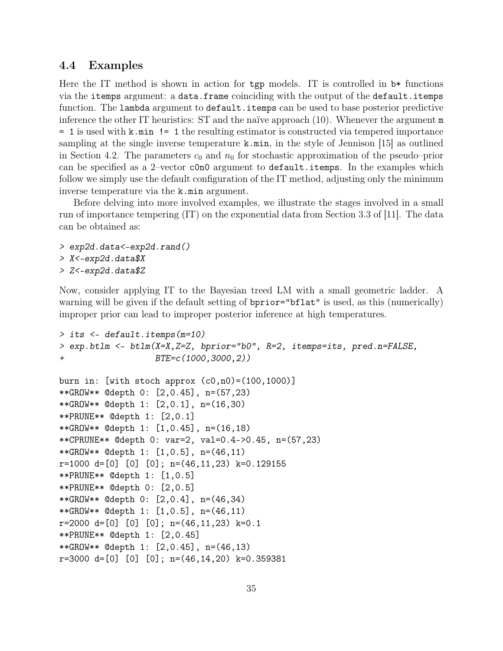### 4.4 Examples

Here the IT method is shown in action for tgp models. IT is controlled in  $\flat^*$  functions via the itemps argument: a data.frame coinciding with the output of the default.itemps function. The lambda argument to default.itemps can be used to base posterior predictive inference the other IT heuristics: ST and the naïve approach (10). Whenever the argument m = 1 is used with k.min != 1 the resulting estimator is constructed via tempered importance sampling at the single inverse temperature  $k \cdot \min$ , in the style of Jennison [15] as outlined in Section 4.2. The parameters  $c_0$  and  $n_0$  for stochastic approximation of the pseudo–prior can be specified as a 2–vector c0n0 argument to default.itemps. In the examples which follow we simply use the default configuration of the IT method, adjusting only the minimum inverse temperature via the k.min argument.

Before delving into more involved examples, we illustrate the stages involved in a small run of importance tempering (IT) on the exponential data from Section 3.3 of [11]. The data can be obtained as:

- *> exp2d.data<-exp2d.rand() > X<-exp2d.data\$X*
- *> Z<-exp2d.data\$Z*

Now, consider applying IT to the Bayesian treed LM with a small geometric ladder. A warning will be given if the default setting of  $b$ prior="bflat" is used, as this (numerically) improper prior can lead to improper posterior inference at high temperatures.

```
> its <- default.itemps(m=10)
> exp.btlm <- btlm(X=X,Z=Z, bprior="b0", R=2, itemps=its, pred.n=FALSE,
+ BTE=c(1000,3000,2))
burn in: [with stoch approx (c0,n0)=(100,1000)]
**GROW** @depth 0: [2,0.45], n=(57,23)
**GROW** @depth 1: [2,0.1], n=(16,30)
**PRUNE** @depth 1: [2,0.1]
**GROW** @depth 1: [1,0.45], n=(16,18)
**CPRUNE** @depth 0: var=2, val=0.4->0.45, n=(57,23)
**GROW** @depth 1: [1,0.5], n=(46,11)
r=1000 d=[0] [0] [0]; n=(46,11,23) k=0.129155**PRUNE** @depth 1: [1,0.5]
**PRUNE** @depth 0: [2,0.5]
**GROW** @depth 0: [2,0.4], n=(46,34)
**GROW** @depth 1: [1,0.5], n=(46,11)
r=2000 d=[0] [0] [0]; n=(46,11,23) k=0.1**PRUNE** @depth 1: [2,0.45]
**GROW** @depth 1: [2,0.45], n=(46,13)
r=3000 d=[0] [0] [0]; n=(46,14,20) k=0.359381
```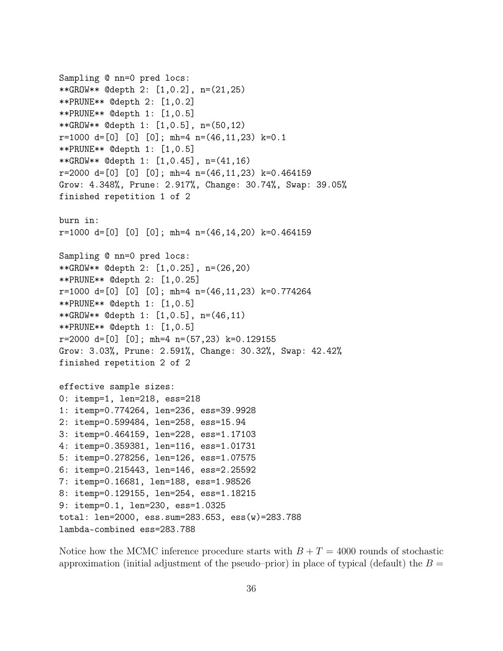```
Sampling @ nn=0 pred locs:
**GROW** @depth 2: [1,0.2], n=(21,25)
**PRUNE** @depth 2: [1,0.2]
**PRUNE** @depth 1: [1,0.5]
**GROW** @depth 1: [1,0.5], n=(50,12)
r=1000 d=[0] [0] [0]; mh=4 n=(46,11,23) k=0.1
**PRUNE** @depth 1: [1,0.5]
**GROW** @depth 1: [1,0.45], n=(41,16)
r=2000 d=[0] [0] [0]; mh=4 n=(46,11,23) k=0.464159
Grow: 4.348%, Prune: 2.917%, Change: 30.74%, Swap: 39.05%
finished repetition 1 of 2
burn in:
r=1000 d=[0] [0] [0]; mh=4 n=(46,14,20) k=0.464159Sampling @ nn=0 pred locs:
**GROW** @depth 2: [1,0.25], n=(26,20)
**PRUNE** @depth 2: [1,0.25]
r=1000 d=[0] [0] [0]; mh=4 n=(46,11,23) k=0.774264**PRUNE** @depth 1: [1,0.5]
**GROW** @depth 1: [1,0.5], n=(46,11)
**PRUNE** @depth 1: [1,0.5]
r=2000 d=[0] [0]; mh=4 n=(57,23) k=0.129155Grow: 3.03%, Prune: 2.591%, Change: 30.32%, Swap: 42.42%
finished repetition 2 of 2
effective sample sizes:
0: itemp=1, len=218, ess=218
1: itemp=0.774264, len=236, ess=39.9928
2: itemp=0.599484, len=258, ess=15.94
3: itemp=0.464159, len=228, ess=1.17103
4: itemp=0.359381, len=116, ess=1.01731
5: itemp=0.278256, len=126, ess=1.07575
6: itemp=0.215443, len=146, ess=2.25592
7: itemp=0.16681, len=188, ess=1.98526
8: itemp=0.129155, len=254, ess=1.18215
9: itemp=0.1, len=230, ess=1.0325
total: len=2000, ess.sum=283.653, ess(w)=283.788
lambda-combined ess=283.788
```
Notice how the MCMC inference procedure starts with  $B + T = 4000$  rounds of stochastic approximation (initial adjustment of the pseudo–prior) in place of typical (default) the  $B =$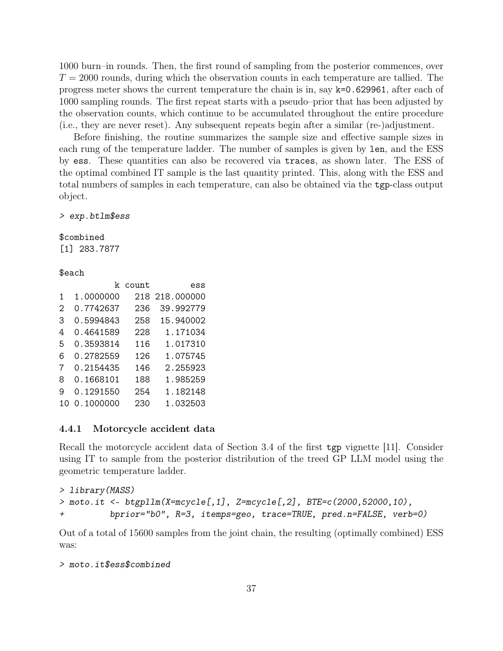1000 burn–in rounds. Then, the first round of sampling from the posterior commences, over  $T = 2000$  rounds, during which the observation counts in each temperature are tallied. The progress meter shows the current temperature the chain is in, say k=0.629961, after each of 1000 sampling rounds. The first repeat starts with a pseudo–prior that has been adjusted by the observation counts, which continue to be accumulated throughout the entire procedure (i.e., they are never reset). Any subsequent repeats begin after a similar (re-)adjustment.

Before finishing, the routine summarizes the sample size and effective sample sizes in each rung of the temperature ladder. The number of samples is given by len, and the ESS by ess. These quantities can also be recovered via traces, as shown later. The ESS of the optimal combined IT sample is the last quantity printed. This, along with the ESS and total numbers of samples in each temperature, can also be obtained via the tgp-class output object.

*> exp.btlm\$ess*

\$combined [1] 283.7877

\$each

|    |           | k count | ess            |
|----|-----------|---------|----------------|
| 1  | 1.0000000 |         | 218 218.000000 |
| 2  | 0.7742637 | 236     | 39.992779      |
| З  | 0.5994843 | 258     | 15.940002      |
| 4  | 0.4641589 | 228     | 1.171034       |
| 5  | 0.3593814 | 116     | 1.017310       |
| 6  | 0.2782559 | 126     | 1.075745       |
| 7  | 0.2154435 | 146     | 2.255923       |
| 8  | 0.1668101 | 188     | 1.985259       |
| 9  | 0.1291550 | 254     | 1.182148       |
| 10 | 0.1000000 | 230     | 1.032503       |

#### 4.4.1 Motorcycle accident data

Recall the motorcycle accident data of Section 3.4 of the first tgp vignette [11]. Consider using IT to sample from the posterior distribution of the treed GP LLM model using the geometric temperature ladder.

```
> library(MASS)
> moto.it <- btgpllm(X=mcycle[,1], Z=mcycle[,2], BTE=c(2000,52000,10),
          + bprior="b0", R=3, itemps=geo, trace=TRUE, pred.n=FALSE, verb=0)
```
Out of a total of 15600 samples from the joint chain, the resulting (optimally combined) ESS was:

```
> moto.it$ess$combined
```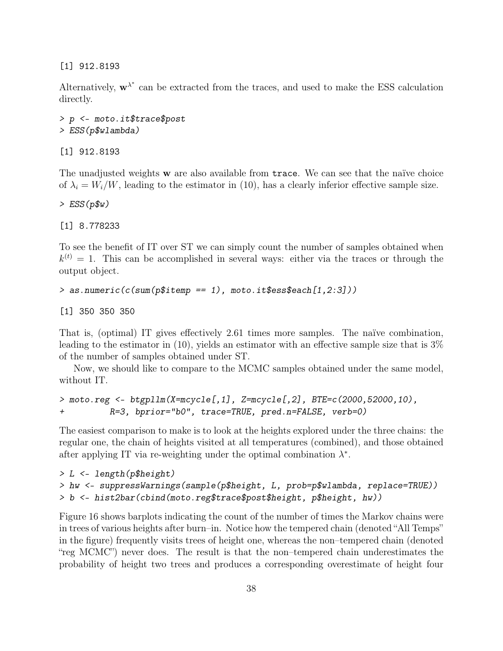[1] 912.8193

Alternatively,  $\mathbf{w}^{\lambda^*}$  can be extracted from the traces, and used to make the ESS calculation directly.

```
> p <- moto.it$trace$post
> ESS(p$wlambda)
```
[1] 912.8193

The unadjusted weights **w** are also available from trace. We can see that the naïve choice of  $\lambda_i = W_i/W$ , leading to the estimator in (10), has a clearly inferior effective sample size.

*> ESS(p\$w)*

[1] 8.778233

To see the benefit of IT over ST we can simply count the number of samples obtained when  $k^{(t)} = 1$ . This can be accomplished in several ways: either via the traces or through the output object.

```
> as.numeric(c(sum(p$itemp == 1), moto.it$ess$each[1,2:3]))
```
[1] 350 350 350

That is, (optimal) IT gives effectively 2.61 times more samples. The naïve combination, leading to the estimator in  $(10)$ , yields an estimator with an effective sample size that is  $3\%$ of the number of samples obtained under ST.

Now, we should like to compare to the MCMC samples obtained under the same model, without IT.

```
> moto.reg <- btgpllm(X=mcycle[,1], Z=mcycle[,2], BTE=c(2000,52000,10),
+ R=3, bprior="b0", trace=TRUE, pred.n=FALSE, verb=0)
```
The easiest comparison to make is to look at the heights explored under the three chains: the regular one, the chain of heights visited at all temperatures (combined), and those obtained after applying IT via re-weighting under the optimal combination  $\lambda^*$ .

```
> L <- length(p$height)
> hw <- suppressWarnings(sample(p$height, L, prob=p$wlambda, replace=TRUE))
> b <- hist2bar(cbind(moto.reg$trace$post$height, p$height, hw))
```
Figure 16 shows barplots indicating the count of the number of times the Markov chains were in trees of various heights after burn–in. Notice how the tempered chain (denoted "All Temps" in the figure) frequently visits trees of height one, whereas the non–tempered chain (denoted "reg MCMC") never does. The result is that the non–tempered chain underestimates the probability of height two trees and produces a corresponding overestimate of height four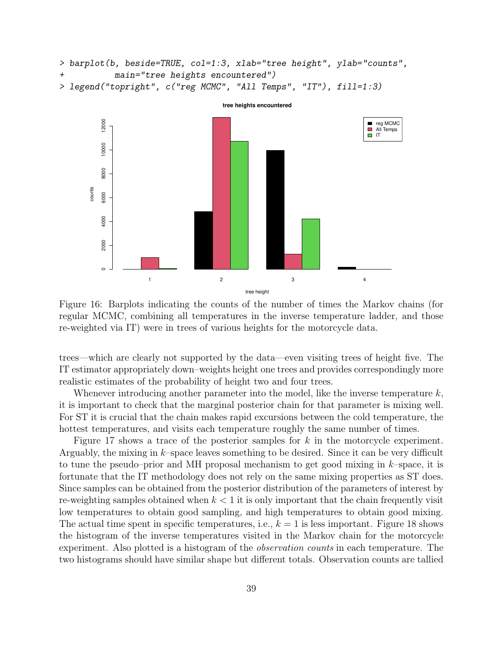```
> barplot(b, beside=TRUE, col=1:3, xlab="tree height", ylab="counts",
+ main="tree heights encountered")
> legend("topright", c("reg MCMC", "All Temps", "IT"), fill=1:3)
```


Figure 16: Barplots indicating the counts of the number of times the Markov chains (for regular MCMC, combining all temperatures in the inverse temperature ladder, and those re-weighted via IT) were in trees of various heights for the motorcycle data.

trees—which are clearly not supported by the data—even visiting trees of height five. The IT estimator appropriately down–weights height one trees and provides correspondingly more realistic estimates of the probability of height two and four trees.

Whenever introducing another parameter into the model, like the inverse temperature  $k$ , it is important to check that the marginal posterior chain for that parameter is mixing well. For ST it is crucial that the chain makes rapid excursions between the cold temperature, the hottest temperatures, and visits each temperature roughly the same number of times.

Figure 17 shows a trace of the posterior samples for k in the motorcycle experiment. Arguably, the mixing in  $k$ –space leaves something to be desired. Since it can be very difficult to tune the pseudo–prior and MH proposal mechanism to get good mixing in  $k$ –space, it is fortunate that the IT methodology does not rely on the same mixing properties as ST does. Since samples can be obtained from the posterior distribution of the parameters of interest by re-weighting samples obtained when  $k < 1$  it is only important that the chain frequently visit low temperatures to obtain good sampling, and high temperatures to obtain good mixing. The actual time spent in specific temperatures, i.e.,  $k = 1$  is less important. Figure 18 shows the histogram of the inverse temperatures visited in the Markov chain for the motorcycle experiment. Also plotted is a histogram of the observation counts in each temperature. The two histograms should have similar shape but different totals. Observation counts are tallied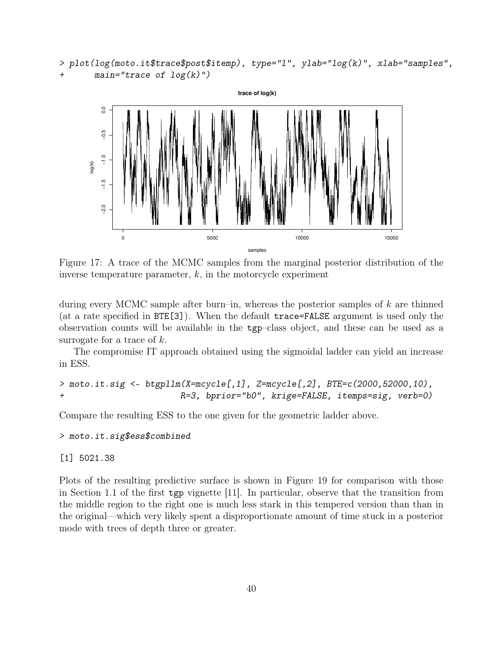```
> plot(log(moto.it$trace$post$itemp), type="l", ylab="log(k)", xlab="samples",
+ main="trace of log(k)")
```


Figure 17: A trace of the MCMC samples from the marginal posterior distribution of the inverse temperature parameter,  $k$ , in the motorcycle experiment

during every MCMC sample after burn–in, whereas the posterior samples of k are thinned (at a rate specified in BTE[3]). When the default trace=FALSE argument is used only the observation counts will be available in the tgp–class object, and these can be used as a surrogate for a trace of  $k$ .

The compromise IT approach obtained using the sigmoidal ladder can yield an increase in ESS.

```
> moto.it.sig <- btgpllm(X=mcycle[,1], Z=mcycle[,2], BTE=c(2000,52000,10),
+ R=3, bprior="b0", krige=FALSE, itemps=sig, verb=0)
```
Compare the resulting ESS to the one given for the geometric ladder above.

```
> moto.it.sig$ess$combined
```
[1] 5021.38

Plots of the resulting predictive surface is shown in Figure 19 for comparison with those in Section 1.1 of the first tgp vignette [11]. In particular, observe that the transition from the middle region to the right one is much less stark in this tempered version than than in the original—which very likely spent a disproportionate amount of time stuck in a posterior mode with trees of depth three or greater.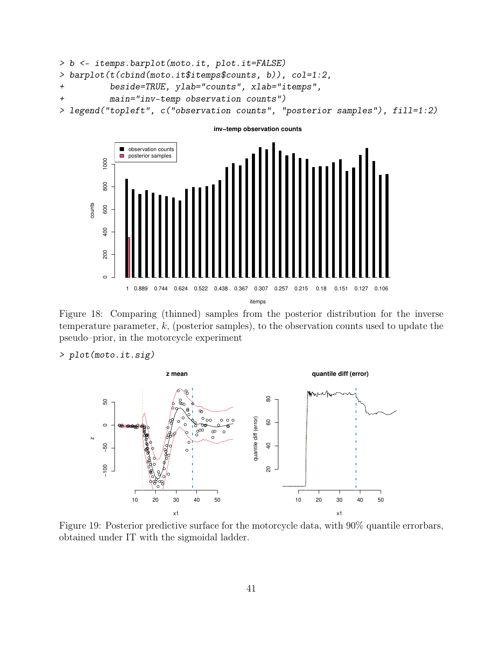```
> b <- itemps.barplot(moto.it, plot.it=FALSE)
> barplot(t(cbind(moto.it$itemps$counts, b)), col=1:2,
+ beside=TRUE, ylab="counts", xlab="itemps",
+ main="inv-temp observation counts")
> legend("topleft", c("observation counts", "posterior samples"), fill=1:2)
```
**inv−temp observation counts**



Figure 18: Comparing (thinned) samples from the posterior distribution for the inverse temperature parameter,  $k$ , (posterior samples), to the observation counts used to update the pseudo–prior, in the motorcycle experiment

### *> plot(moto.it.sig)*



Figure 19: Posterior predictive surface for the motorcycle data, with 90% quantile errorbars, obtained under IT with the sigmoidal ladder.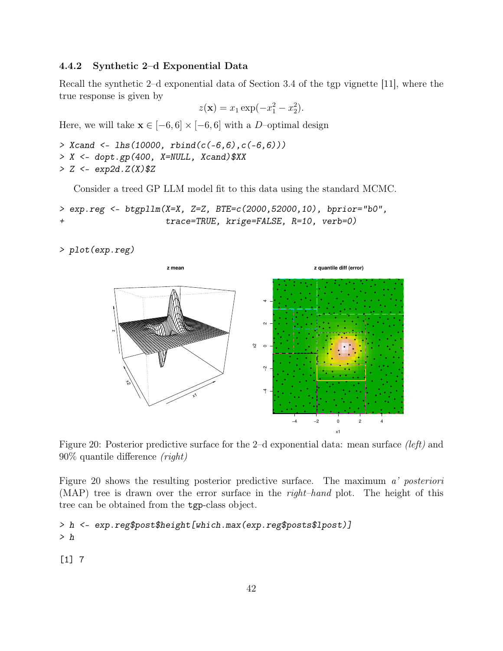#### 4.4.2 Synthetic 2–d Exponential Data

Recall the synthetic 2–d exponential data of Section 3.4 of the tgp vignette [11], where the true response is given by

$$
z(\mathbf{x}) = x_1 \exp(-x_1^2 - x_2^2).
$$

Here, we will take  $\mathbf{x} \in [-6, 6] \times [-6, 6]$  with a D-optimal design

```
> Xcand <- lhs(10000, rbind(c(-6,6),c(-6,6)))
> X <- dopt.gp(400, X=NULL, Xcand)$XX
> Z <- exp2d.Z(X)$Z
```
Consider a treed GP LLM model fit to this data using the standard MCMC.

```
> exp.reg <- btgpllm(X=X, Z=Z, BTE=c(2000,52000,10), bprior="b0",
+ trace=TRUE, krige=FALSE, R=10, verb=0)
```
*> plot(exp.reg)*



Figure 20: Posterior predictive surface for the 2-d exponential data: mean surface (left) and 90% quantile difference (right)

Figure 20 shows the resulting posterior predictive surface. The maximum a' posteriori (MAP) tree is drawn over the error surface in the right–hand plot. The height of this tree can be obtained from the tgp-class object.

```
> h <- exp.reg$post$height[which.max(exp.reg$posts$lpost)]
> h
```
[1] 7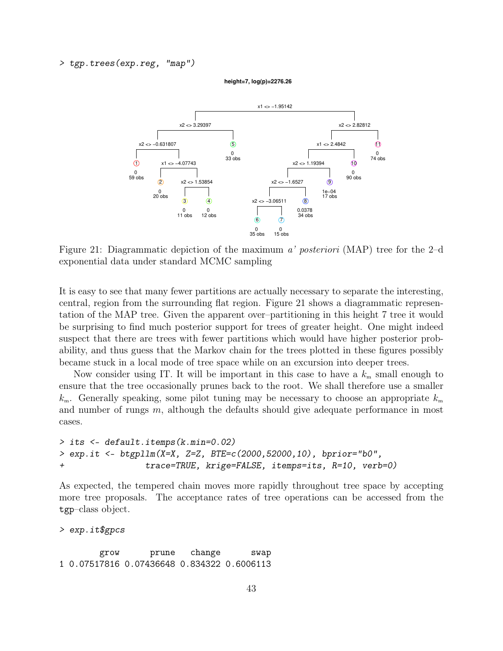*> tgp.trees(exp.reg, "map")*





Figure 21: Diagrammatic depiction of the maximum a' posteriori (MAP) tree for the 2–d exponential data under standard MCMC sampling

It is easy to see that many fewer partitions are actually necessary to separate the interesting, central, region from the surrounding flat region. Figure 21 shows a diagrammatic representation of the MAP tree. Given the apparent over–partitioning in this height 7 tree it would be surprising to find much posterior support for trees of greater height. One might indeed suspect that there are trees with fewer partitions which would have higher posterior probability, and thus guess that the Markov chain for the trees plotted in these figures possibly became stuck in a local mode of tree space while on an excursion into deeper trees.

Now consider using IT. It will be important in this case to have a  $k_{\rm m}$  small enough to ensure that the tree occasionally prunes back to the root. We shall therefore use a smaller  $k_{\rm m}$ . Generally speaking, some pilot tuning may be necessary to choose an appropriate  $k_{\rm m}$ and number of rungs  $m$ , although the defaults should give adequate performance in most cases.

```
> its <- default.itemps(k.min=0.02)
> exp.it <- btgpllm(X=X, Z=Z, BTE=c(2000,52000,10), bprior="b0",
+ trace=TRUE, krige=FALSE, itemps=its, R=10, verb=0)
```
As expected, the tempered chain moves more rapidly throughout tree space by accepting more tree proposals. The acceptance rates of tree operations can be accessed from the tgp–class object.

*> exp.it\$gpcs*

grow prune change swap 1 0.07517816 0.07436648 0.834322 0.6006113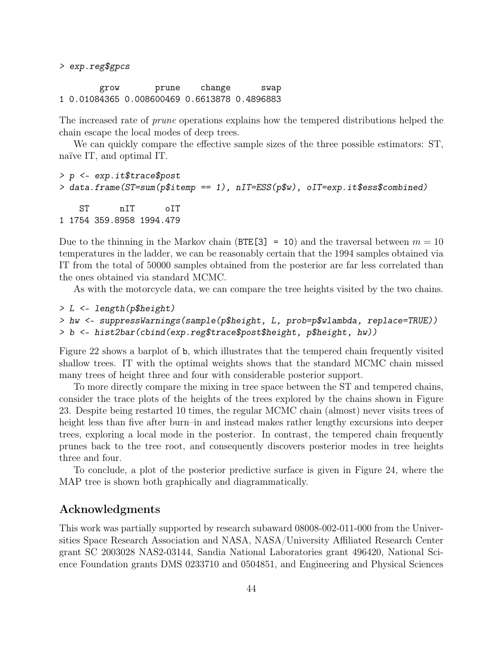*> exp.reg\$gpcs*

grow prune change swap 1 0.01084365 0.008600469 0.6613878 0.4896883

The increased rate of prune operations explains how the tempered distributions helped the chain escape the local modes of deep trees.

We can quickly compare the effective sample sizes of the three possible estimators: ST, naïve IT, and optimal IT.

```
> p <- exp.it$trace$post
> data.frame(ST=sum(p$itemp == 1), nIT=ESS(p$w), oIT=exp.it$ess$combined)
   ST nIT oIT
1 1754 359.8958 1994.479
```
Due to the thinning in the Markov chain (BTE[3] = 10) and the traversal between  $m = 10$ temperatures in the ladder, we can be reasonably certain that the 1994 samples obtained via IT from the total of 50000 samples obtained from the posterior are far less correlated than the ones obtained via standard MCMC.

As with the motorcycle data, we can compare the tree heights visited by the two chains.

```
> L <- length(p$height)
```

```
> hw <- suppressWarnings(sample(p$height, L, prob=p$wlambda, replace=TRUE))
> b <- hist2bar(cbind(exp.reg$trace$post$height, p$height, hw))
```
Figure 22 shows a barplot of b, which illustrates that the tempered chain frequently visited shallow trees. IT with the optimal weights shows that the standard MCMC chain missed many trees of height three and four with considerable posterior support.

To more directly compare the mixing in tree space between the ST and tempered chains, consider the trace plots of the heights of the trees explored by the chains shown in Figure 23. Despite being restarted 10 times, the regular MCMC chain (almost) never visits trees of height less than five after burn–in and instead makes rather lengthy excursions into deeper trees, exploring a local mode in the posterior. In contrast, the tempered chain frequently prunes back to the tree root, and consequently discovers posterior modes in tree heights three and four.

To conclude, a plot of the posterior predictive surface is given in Figure 24, where the MAP tree is shown both graphically and diagrammatically.

## Acknowledgments

This work was partially supported by research subaward 08008-002-011-000 from the Universities Space Research Association and NASA, NASA/University Affiliated Research Center grant SC 2003028 NAS2-03144, Sandia National Laboratories grant 496420, National Science Foundation grants DMS 0233710 and 0504851, and Engineering and Physical Sciences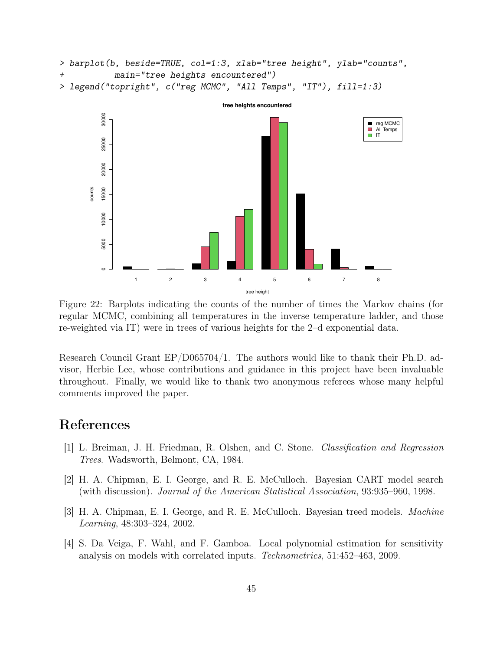```
> barplot(b, beside=TRUE, col=1:3, xlab="tree height", ylab="counts",
+ main="tree heights encountered")
> legend("topright", c("reg MCMC", "All Temps", "IT"), fill=1:3)
```


Figure 22: Barplots indicating the counts of the number of times the Markov chains (for regular MCMC, combining all temperatures in the inverse temperature ladder, and those re-weighted via IT) were in trees of various heights for the 2–d exponential data.

Research Council Grant EP/D065704/1. The authors would like to thank their Ph.D. advisor, Herbie Lee, whose contributions and guidance in this project have been invaluable throughout. Finally, we would like to thank two anonymous referees whose many helpful comments improved the paper.

## References

- [1] L. Breiman, J. H. Friedman, R. Olshen, and C. Stone. Classification and Regression Trees. Wadsworth, Belmont, CA, 1984.
- [2] H. A. Chipman, E. I. George, and R. E. McCulloch. Bayesian CART model search (with discussion). Journal of the American Statistical Association, 93:935–960, 1998.
- [3] H. A. Chipman, E. I. George, and R. E. McCulloch. Bayesian treed models. Machine Learning, 48:303–324, 2002.
- [4] S. Da Veiga, F. Wahl, and F. Gamboa. Local polynomial estimation for sensitivity analysis on models with correlated inputs. Technometrics, 51:452–463, 2009.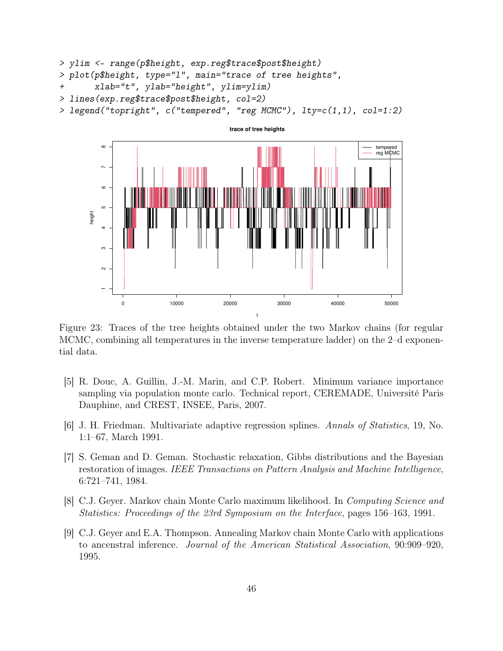```
> ylim <- range(p$height, exp.reg$trace$post$height)
> plot(p$height, type="l", main="trace of tree heights",
+ xlab="t", ylab="height", ylim=ylim)
> lines(exp.reg$trace$post$height, col=2)
```




Figure 23: Traces of the tree heights obtained under the two Markov chains (for regular MCMC, combining all temperatures in the inverse temperature ladder) on the 2–d exponential data.

- [5] R. Douc, A. Guillin, J.-M. Marin, and C.P. Robert. Minimum variance importance sampling via population monte carlo. Technical report, CEREMADE, Université Paris Dauphine, and CREST, INSEE, Paris, 2007.
- [6] J. H. Friedman. Multivariate adaptive regression splines. Annals of Statistics, 19, No. 1:1–67, March 1991.
- [7] S. Geman and D. Geman. Stochastic relaxation, Gibbs distributions and the Bayesian restoration of images. IEEE Transactions on Pattern Analysis and Machine Intelligence, 6:721–741, 1984.
- [8] C.J. Geyer. Markov chain Monte Carlo maximum likelihood. In Computing Science and Statistics: Proceedings of the 23rd Symposium on the Interface, pages 156–163, 1991.
- [9] C.J. Geyer and E.A. Thompson. Annealing Markov chain Monte Carlo with applications to ancenstral inference. Journal of the American Statistical Association, 90:909–920, 1995.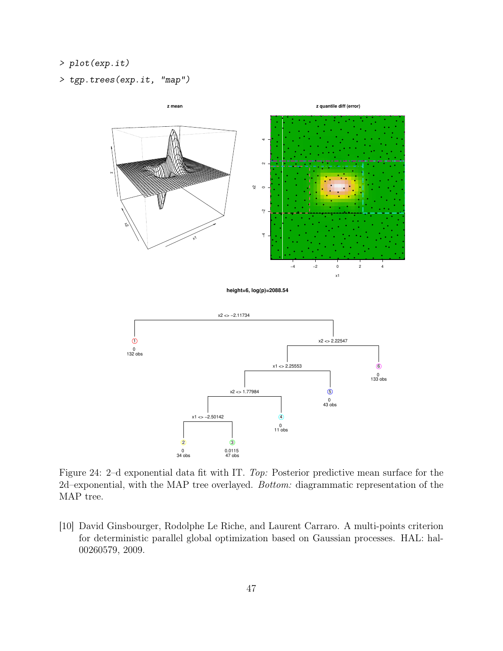- *> plot(exp.it)*
- *> tgp.trees(exp.it, "map")*



Figure 24: 2–d exponential data fit with IT. Top: Posterior predictive mean surface for the 2d–exponential, with the MAP tree overlayed. Bottom: diagrammatic representation of the MAP tree.

[10] David Ginsbourger, Rodolphe Le Riche, and Laurent Carraro. A multi-points criterion for deterministic parallel global optimization based on Gaussian processes. HAL: hal-00260579, 2009.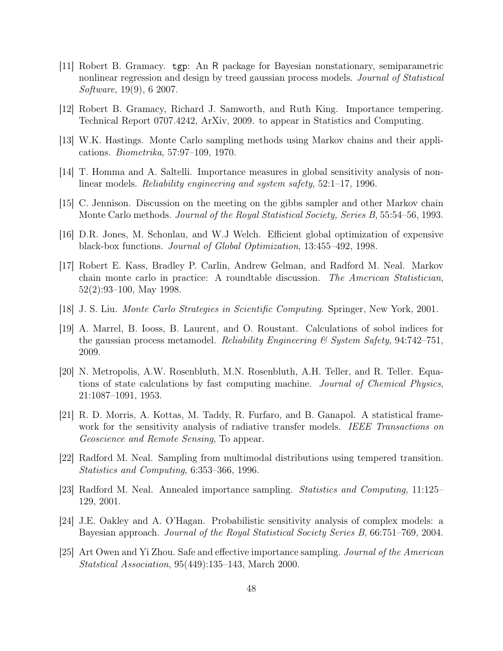- [11] Robert B. Gramacy. tgp: An R package for Bayesian nonstationary, semiparametric nonlinear regression and design by treed gaussian process models. Journal of Statistical Software, 19(9), 6 2007.
- [12] Robert B. Gramacy, Richard J. Samworth, and Ruth King. Importance tempering. Technical Report 0707.4242, ArXiv, 2009. to appear in Statistics and Computing.
- [13] W.K. Hastings. Monte Carlo sampling methods using Markov chains and their applications. Biometrika, 57:97–109, 1970.
- [14] T. Homma and A. Saltelli. Importance measures in global sensitivity analysis of nonlinear models. Reliability engineering and system safety, 52:1–17, 1996.
- [15] C. Jennison. Discussion on the meeting on the gibbs sampler and other Markov chain Monte Carlo methods. *Journal of the Royal Statistical Society, Series B*, 55:54–56, 1993.
- [16] D.R. Jones, M. Schonlau, and W.J Welch. Efficient global optimization of expensive black-box functions. Journal of Global Optimization, 13:455–492, 1998.
- [17] Robert E. Kass, Bradley P. Carlin, Andrew Gelman, and Radford M. Neal. Markov chain monte carlo in practice: A roundtable discussion. The American Statistician, 52(2):93–100, May 1998.
- [18] J. S. Liu. Monte Carlo Strategies in Scientific Computing. Springer, New York, 2001.
- [19] A. Marrel, B. Iooss, B. Laurent, and O. Roustant. Calculations of sobol indices for the gaussian process metamodel. Reliability Engineering & System Safety,  $94:742-751$ , 2009.
- [20] N. Metropolis, A.W. Rosenbluth, M.N. Rosenbluth, A.H. Teller, and R. Teller. Equations of state calculations by fast computing machine. Journal of Chemical Physics, 21:1087–1091, 1953.
- [21] R. D. Morris, A. Kottas, M. Taddy, R. Furfaro, and B. Ganapol. A statistical framework for the sensitivity analysis of radiative transfer models. IEEE Transactions on Geoscience and Remote Sensing, To appear.
- [22] Radford M. Neal. Sampling from multimodal distributions using tempered transition. Statistics and Computing, 6:353–366, 1996.
- [23] Radford M. Neal. Annealed importance sampling. Statistics and Computing, 11:125– 129, 2001.
- [24] J.E. Oakley and A. O'Hagan. Probabilistic sensitivity analysis of complex models: a Bayesian approach. *Journal of the Royal Statistical Society Series B*, 66:751–769, 2004.
- [25] Art Owen and Yi Zhou. Safe and effective importance sampling. Journal of the American Statstical Association, 95(449):135–143, March 2000.